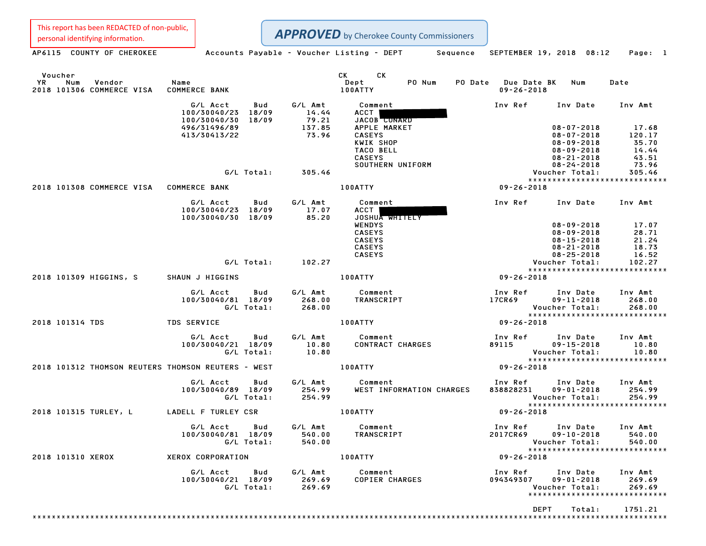This report has been REDACTED of non-public,

Personal identifying information.<br>
Accounts Payable - Voucher Listing - DEPT Sequence SEPTEMBER 19, 2018 08:12 Page: 1 APPROVED by Cherokee County Commissioners

| Voucher<br><b>YR</b><br>Num<br>Vendor<br>2018 101306 COMMERCE VISA | Name<br><b>COMMERCE BANK</b>                                   |                                                                           | CK CK<br>PO Num<br>Dept<br>100ATTY                                                                           | PO Date Due Date BK<br>Num<br>$09 - 26 - 2018$                                                                       | Date                                                         |
|--------------------------------------------------------------------|----------------------------------------------------------------|---------------------------------------------------------------------------|--------------------------------------------------------------------------------------------------------------|----------------------------------------------------------------------------------------------------------------------|--------------------------------------------------------------|
|                                                                    | G/L Acct<br>Bud<br>100/30040/23 18/09                          | G/L Amt<br>14.44                                                          | Comment<br><b>ACCT</b>                                                                                       | Inv Ref<br>Inv Date                                                                                                  | Inv Amt                                                      |
|                                                                    | 18/09<br>100/30040/30<br>496/31496/89<br>413/30413/22          | 79.21<br>137.85<br>73.96                                                  | JACOB CONARD<br>APPLE MARKET<br><b>CASEYS</b><br>KWIK SHOP<br>TACO BELL<br><b>CASEYS</b><br>SOUTHERN UNIFORM | $08 - 07 - 2018$<br>$08 - 07 - 2018$<br>$08 - 09 - 2018$<br>$08 - 09 - 2018$<br>$08 - 21 - 2018$<br>$08 - 24 - 2018$ | 17.68<br>120.17<br>35.70<br>14.44<br>43.51<br>73.96          |
|                                                                    | G/L Total:                                                     | 305.46                                                                    |                                                                                                              | Voucher Total:                                                                                                       | 305.46                                                       |
| 2018 101308 COMMERCE VISA COMMERCE BANK                            |                                                                |                                                                           | <b>100ATTY</b>                                                                                               | $09 - 26 - 2018$                                                                                                     | *****************************                                |
|                                                                    | G/L Acct<br>Bud<br>100/30040/23 18/09<br>100/30040/30<br>18/09 | G/L Amt<br>17.07<br>85.20                                                 | Comment<br>ACCT  <br>JOSHUA WHITELY                                                                          | Inv Ref<br>Inv Date                                                                                                  | Inv Amt                                                      |
|                                                                    |                                                                |                                                                           | <b>WENDYS</b><br><b>CASEYS</b><br><b>CASEYS</b><br><b>CASEYS</b><br><b>CASEYS</b>                            | $08 - 09 - 2018$<br>$08 - 09 - 2018$<br>$08 - 15 - 2018$<br>$08 - 21 - 2018$<br>$08 - 25 - 2018$                     | 17.07<br>28.71<br>21.24<br>18.73<br>16.52                    |
|                                                                    | G/L Total: 102.27                                              |                                                                           |                                                                                                              | Voucher Total:                                                                                                       | 102.27                                                       |
| 2018 101309 HIGGINS, S                                             | SHAUN J HIGGINS                                                |                                                                           | <b>100ATTY</b>                                                                                               | $09 - 26 - 2018$                                                                                                     | ******************************                               |
|                                                                    | G/L Acct<br>Bud<br>100/30040/81 18/09<br>G/L Total:            | G/L Amt<br>268.00<br>268.00                                               | Comment<br>TRANSCRIPT                                                                                        | Inv Ref<br>Inv Date<br>17CR69<br>$09 - 11 - 2018$<br>Voucher Total:                                                  | Inv Amt<br>268.00<br>268.00                                  |
| 2018 101314 TDS                                                    | <b>TDS SERVICE</b>                                             |                                                                           | <b>100ATTY</b>                                                                                               | $09 - 26 - 2018$                                                                                                     |                                                              |
|                                                                    | G/L Acct<br>Bud<br>100/30040/21 18/09<br>G/L Total:            | G/L Amt<br>$\begin{array}{c} \texttt{10.80} \ \texttt{10.80} \end{array}$ | Comment<br>CONTRACT CHARGES                                                                                  | Inv Ref<br>Inv Date<br>89115<br>$09 - 15 - 2018$<br>Voucher Total:                                                   | Inv Amt<br>10.80<br>10.80<br>******************************  |
| 2018 101312 THOMSON REUTERS THOMSON REUTERS - WEST                 |                                                                |                                                                           | 100ATTY                                                                                                      | $09 - 26 - 2018$                                                                                                     |                                                              |
|                                                                    | G/L Acct<br>Bud<br>100/30040/89 18/09<br>G/L Total:            | G/L Amt<br>254.99<br>254.99                                               | Comment<br>WEST INFORMATION CHARGES                                                                          | Inv Ref<br>Inv Date<br>838828231<br>$09 - 01 - 2018$<br>Voucher Total:                                               | Inv Amt<br>254.99<br>254.99                                  |
| 2018 101315 TURLEY, L                                              | LADELL F TURLEY CSR                                            |                                                                           | 100ATTY                                                                                                      | $09 - 26 - 2018$                                                                                                     | *****************************                                |
|                                                                    | G/L Acct<br>Bud<br>100/30040/81 18/09<br>G/L Total:            | G/L Amt<br>540.00<br>540.00                                               | Comment<br>TRANSCRIPT                                                                                        | Inv Ref<br>Inv Date<br>2017CR69<br>$09 - 10 - 2018$<br>Voucher Total:                                                | Inv Amt<br>540.00<br>540.00                                  |
| 2018 101310 XEROX                                                  | XEROX CORPORATION                                              |                                                                           | 100ATTY                                                                                                      | $09 - 26 - 2018$                                                                                                     |                                                              |
|                                                                    | G/L Acct<br>Bud<br>100/30040/21 18/09<br>G/L Total:            | G/L Amt<br>269.69<br>269.69                                               | Comment<br>COPIER<br>COPIER CHARGES                                                                          | Inv Ref<br>Inv Date<br>094349307<br>$09 - 01 - 2018$<br>Voucher Total:                                               | Inv Amt<br>269.69<br>269.69<br>***************************** |
|                                                                    |                                                                |                                                                           |                                                                                                              | DEPT<br>Total:                                                                                                       | 1751.21                                                      |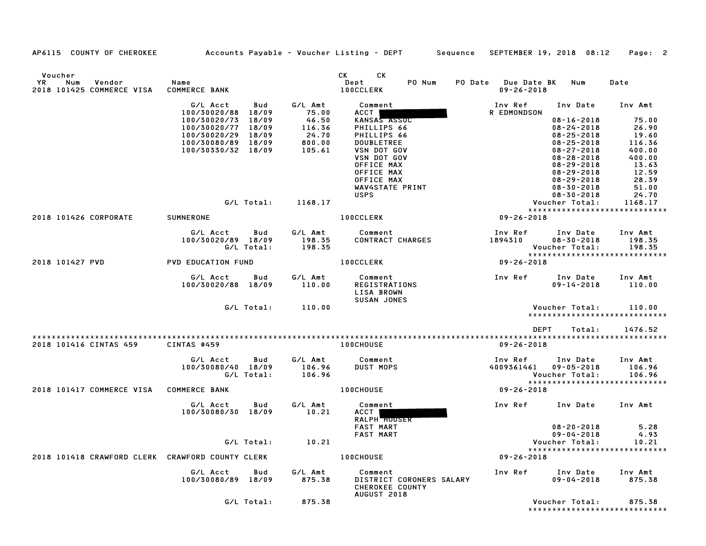AP6115 COUNTY OF CHEROKEE Accounts Payable - Voucher Listing - DEPT Sequence SEPTEMBER 19, <sup>2018</sup> 08:12 Page: <sup>2</sup>

| Voucher<br>YR<br>Num<br>Vendor<br>2018 101425 COMMERCE VISA | Name<br><b>COMMERCE BANK</b>                                   |                             | CK CK<br>PO Num<br>Dept<br><b>100CCLERK</b>                       | PO Date Due Date BK<br>$09 - 26 - 2018$ | Num                                            | Date                                     |
|-------------------------------------------------------------|----------------------------------------------------------------|-----------------------------|-------------------------------------------------------------------|-----------------------------------------|------------------------------------------------|------------------------------------------|
|                                                             | G/L Acct<br>Bud                                                | G/L Amt<br>75.00            | Comment                                                           | Inv Ref                                 | Inv Date                                       | Inv Amt                                  |
|                                                             | 100/30020/88 18/09<br>100/30020/73 18/09<br>100/30020/77 18/09 | 46.50<br>116.36             | ACCT  <br>KANSAS ASSOC<br>PHILLIPS 66                             | R EDMONDSON                             | $08 - 16 - 2018$<br>$08 - 24 - 2018$           | 75.00<br>26.90                           |
|                                                             | 100/30020/29 18/09<br>100/30080/89 18/09                       | 24.70<br>800.00             | PHILLIPS 66<br><b>DOUBLETREE</b>                                  |                                         | $08 - 25 - 2018$<br>$08 - 25 - 2018$           | 19.60<br>116.36                          |
|                                                             | 100/30330/32 18/09                                             | 105.61                      | <b>VSN DOT GOV</b><br><b>VSN DOT GOV</b>                          |                                         | $08 - 27 - 2018$<br>$08 - 28 - 2018$           | 400.00<br>400.00                         |
|                                                             |                                                                |                             | OFFICE MAX<br>OFFICE MAX                                          |                                         | $08 - 29 - 2018$<br>$08 - 29 - 2018$           | 13.63<br>12.59                           |
|                                                             |                                                                |                             | OFFICE MAX                                                        |                                         | $08 - 29 - 2018$                               | 28.39                                    |
|                                                             |                                                                |                             | WAV4STATE PRINT<br><b>USPS</b>                                    |                                         | $08 - 30 - 2018$<br>$08 - 30 - 2018$           | 51.00<br>24.70                           |
|                                                             | G/L Total:                                                     | 1168.17                     |                                                                   |                                         | Voucher Total:                                 | 1168.17<br>***************************** |
| 2018 101426 CORPORATE                                       | SUMNERONE                                                      |                             | <b>100CCLERK</b>                                                  | $09 - 26 - 2018$                        |                                                |                                          |
|                                                             | G/L Acct<br>Bud<br>100/30020/89 18/09                          | G/L Amt<br>198.35           | Comment<br>CONTRACT CHARGES                                       | Inv Ref<br>1894310                      | Inv Date<br>$08 - 30 - 2018$                   | Inv Amt<br>198.35                        |
|                                                             | G/L Total:                                                     | 198.35                      |                                                                   |                                         | Voucher Total:                                 | 198.35                                   |
| 2018 101427 PVD                                             | <b>PVD EDUCATION FUND</b>                                      |                             | <b>100CCLERK</b>                                                  | 09-26-2018                              |                                                | *****************************            |
|                                                             | G/L Acct<br>Bud<br>100/30020/88 18/09                          | G/L Amt<br>110.00           | Comment<br><b>REGISTRATIONS</b><br>LISA BROWN                     | Inv Ref                                 | Inv Date<br>$09 - 14 - 2018$                   | Inv Amt<br>110.00                        |
|                                                             | G/L Total:                                                     | 110.00                      | <b>SUSAN JONES</b>                                                |                                         | Voucher Total:                                 | 110.00                                   |
|                                                             |                                                                |                             |                                                                   |                                         |                                                | *****************************            |
|                                                             |                                                                |                             |                                                                   | DEPT                                    | Total:                                         | 1476.52                                  |
| 2018 101416 CINTAS 459                                      | CINTAS #459                                                    |                             | <b>100CHOUSE</b>                                                  | $09 - 26 - 2018$                        |                                                |                                          |
|                                                             | G/L Acct<br>Bud<br>100/30080/40 18/09<br>G/L Total:            | G/L Amt<br>106.96<br>106.96 | Comment<br><b>DUST MOPS</b>                                       | Inv Ref<br>4009361461                   | Inv Date<br>$09 - 05 - 2018$<br>Voucher Total: | Inv Amt<br>106.96<br>106.96              |
| 2018 101417 COMMERCE VISA                                   | <b>COMMERCE BANK</b>                                           |                             | <b>100CHOUSE</b>                                                  | 09-26-2018                              |                                                | *****************************            |
|                                                             | G/L Acct<br>Bud<br>100/30080/30 18/09                          | G/L Amt<br>10.21            | Comment<br>ACCT  <br><b>RALPH HOUSER</b>                          | Inv Ref                                 | Inv Date                                       | Inv Amt                                  |
|                                                             |                                                                |                             | <b>FAST MART</b><br><b>FAST MART</b>                              |                                         | $08 - 20 - 2018$<br>$09 - 04 - 2018$           | 5.28<br>4.93                             |
|                                                             | G/L Total:                                                     | 10.21                       |                                                                   |                                         | Voucher Total:                                 | 10.21                                    |
| 2018 101418 CRAWFORD CLERK CRAWFORD COUNTY CLERK            |                                                                |                             | <b>100CHOUSE</b>                                                  | $09 - 26 - 2018$                        |                                                | *****************************            |
|                                                             | G/L Acct<br>Bud                                                | G/L Amt                     | Comment                                                           | Inv Ref                                 | Inv Date                                       | Inv Amt                                  |
|                                                             | 100/30080/89 18/09                                             | 875.38                      | DISTRICT CORONERS SALARY<br><b>CHEROKEE COUNTY</b><br>AUGUST 2018 |                                         | $09 - 04 - 2018$                               | 875.38                                   |
|                                                             | G/L Total:                                                     | 875.38                      |                                                                   |                                         | Voucher Total:                                 | 875.38<br>*****************************  |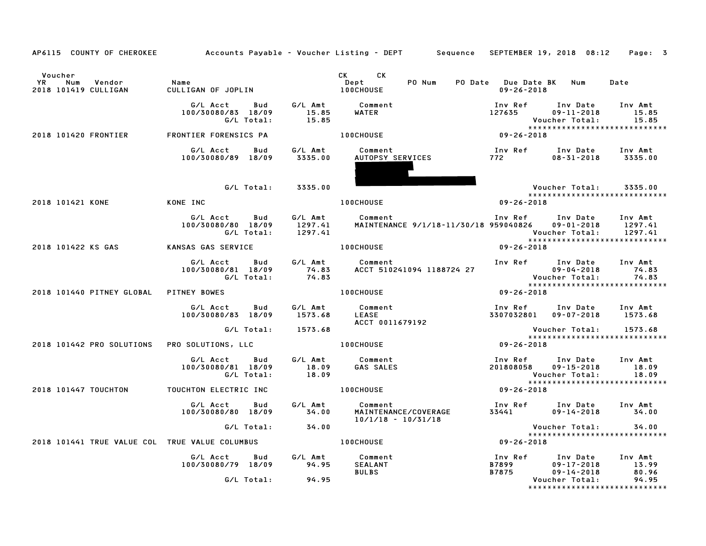| AP6115 COUNTY OF CHEROKEE                                     |                                                            |                    | Accounts Payable – Voucher Listing – DEPT       Sequence   SEPTEMBER 19, 2018  08:12 |                            |                                                                     | Page: 3                   |
|---------------------------------------------------------------|------------------------------------------------------------|--------------------|--------------------------------------------------------------------------------------|----------------------------|---------------------------------------------------------------------|---------------------------|
| Voucher<br><b>YR</b><br>Num<br>Vendor<br>2018 101419 CULLIGAN | Name<br>CULLIGAN OF JOPLIN                                 |                    | CK CK<br>Dept<br>PO Num<br><b>100CHOUSE</b>                                          | $09 - 26 - 2018$           | PO Date Due Date BK Num                                             | Date                      |
|                                                               | G/L Acct<br><b>Bud</b><br>100/30080/83 18/09<br>G/L Total: | 15.85<br>15.85     | G/L Amt Comment<br>WATER                                                             | Inv Ref Inv Date<br>127635 | $09 - 11 - 2018$<br>Voucher Total:<br>***************************** | Inv Amt<br>15.85<br>15.85 |
| 2018 101420 FRONTIER                                          | FRONTIER FORENSICS PA                                      |                    | <b>100CHOUSE</b>                                                                     | $09 - 26 - 2018$           |                                                                     |                           |
|                                                               | G/L Acct<br>Bud<br>100/30080/89 18/09                      | 3335.00            | G/L Amt Comment<br>Comment<br><u>AUTOPSY SERV</u> ICES                               | 772 — 17                   | Inv Ref Inv Date<br>$08 - 31 - 2018$ 3335.00                        | Inv Amt                   |
|                                                               | G/L Total: 3335.00                                         |                    |                                                                                      |                            | Voucher Total:                                                      | 3335.00                   |
| 2018 101421 KONE                                              | KONE INC                                                   |                    | <b>100CHOUSE</b>                                                                     | $09 - 26 - 2018$           | *****************************                                       |                           |
|                                                               | G/L Acct Bud<br>100/30080/80 18/09<br>G/L Total:           | 1297.41<br>1297.41 | G/L Amt Comment<br>MAINTENANCE 9/1/18-11/30/18 959040826 09-01-2018                  |                            | Inv Ref Inv Date Inv Amt<br>Voucher Total:                          | 1297.41<br>1297.41        |
| 2018 101422 KS GAS                                            | KANSAS GAS SERVICE                                         |                    | <b>100CHOUSE</b>                                                                     | $09 - 26 - 2018$           |                                                                     |                           |
|                                                               | G/L Acct Bud<br>100/30080/81 18/09<br>G/L Total:           | 74.83<br>74.83     | G/L Amt Comment<br>ACCT 510241094 1188724 27                                         |                            | Inv Ref Inv Date Inv Amt                                            |                           |
| 2018 101440 PITNEY GLOBAL PITNEY BOWES                        |                                                            |                    | <b>100CHOUSE</b>                                                                     | $09 - 26 - 2018$           |                                                                     |                           |
|                                                               | G/L Acct<br>Bud<br>100/30080/83 18/09                      | 1573.68            | G/L Amt Comment<br><b>LEASE</b><br>ACCT 0011679192                                   |                            | Inv Ref Inv Date Inv Amt<br>3307032801 09-07-2018 1573.68           |                           |
|                                                               | G/L Total:                                                 | 1573.68            |                                                                                      |                            | Voucher Total:<br>*****************************                     | 1573.68                   |
| 2018 101442 PRO SOLUTIONS PRO SOLUTIONS, LLC                  |                                                            |                    | <b>100CHOUSE</b>                                                                     | $09 - 26 - 2018$           |                                                                     |                           |
|                                                               | G/L Acct Bud<br>100/30080/81 18/09<br>G/L Total:           | 18.09<br>18.09     | G/L Amt Comment<br><b>GAS SALES</b>                                                  |                            | Inv Ref      Inv Date<br>201808058  09-15-2018<br>Voucher Total:    | Inv Amt<br>18.09<br>18.09 |
| 2018 101447 TOUCHTON TOUCHTON ELECTRIC INC                    |                                                            |                    | 100CHOUSE                                                                            | $09 - 26 - 2018$           | *****************************                                       |                           |
|                                                               | G/L Acct<br>Bud<br>100/30080/80 18/09                      | G/L Amt<br>34.00   | Comment<br>MAINTENANCE/COVERAGE<br>10/1/18 - 10/71/19<br>10/1/18 - 10/31/18          |                            | Inv Ref Inv Date Inv Amt<br>33441 09-14-2018                        | 34.00                     |
|                                                               | G/L Total:                                                 | 34.00              |                                                                                      |                            | Voucher Total:<br>*****************************                     | 34.00                     |
| 2018 101441 TRUE VALUE COL TRUE VALUE COLUMBUS                |                                                            |                    | <b>100CHOUSE</b>                                                                     | $09 - 26 - 2018$           |                                                                     |                           |
|                                                               | G/L Acct<br>Bud<br>100/30080/79 18/09                      | 94.95              | G/L Amt Comment<br>94.95 SEALANT<br>SEALANT<br><b>BULBS</b>                          | Inv Ref<br>B7899<br>B7875  | Inv Date<br>$09 - 17 - 2018$<br>$09 - 14 - 2018$                    | Inv Amt<br>13.99<br>80.96 |
|                                                               | G/L Total:                                                 | 94.95              |                                                                                      |                            | Voucher Total:<br>*****************************                     | 94.95                     |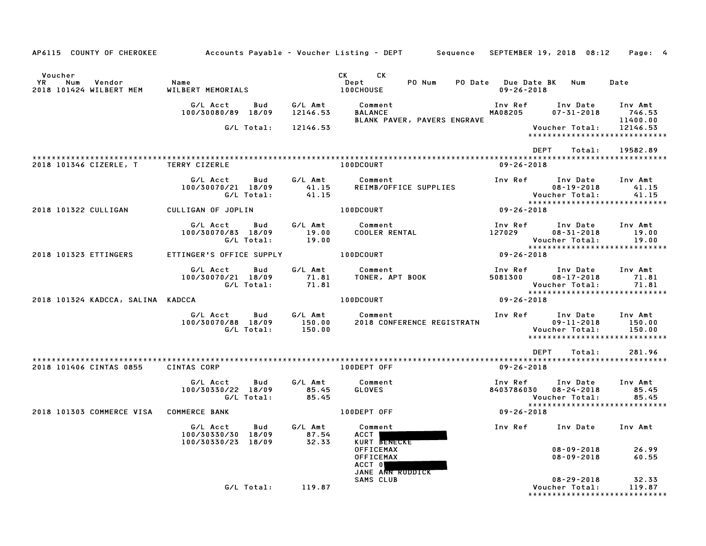| AP6115 COUNTY OF CHEROKEE                                 |                                                             |                             | Accounts Payable – Voucher Listing – DEPT       Sequence   SEPTEMBER 19, 2018  08:12 |                    |                                                                                 | Page: 4                                          |
|-----------------------------------------------------------|-------------------------------------------------------------|-----------------------------|--------------------------------------------------------------------------------------|--------------------|---------------------------------------------------------------------------------|--------------------------------------------------|
| Voucher<br>YR<br>Num<br>Vendor<br>2018 101424 WILBERT MEM | Name<br>WILBERT MEMORIALS                                   |                             | CK <sub>2</sub><br>CK.<br>PO Num<br>Dept<br><b>100CHOUSE</b>                         | $09 - 26 - 2018$   | PO Date Due Date BK Num                                                         | Date                                             |
|                                                           | G/L Acct<br>Bud<br>100/30080/89 18/09                       | G/L Amt<br>12146.53         | Comment<br><b>BALANCE</b><br>BLANK PAVER, PAVERS ENGRAVE                             | Inv Ref<br>MA08205 | Inv Date<br>$07 - 31 - 2018$                                                    | Inv Amt<br>746.53<br>11400.00                    |
|                                                           | G/L Total:                                                  | 12146.53                    |                                                                                      |                    | Voucher Total:<br>*****************************                                 | 12146.53                                         |
|                                                           |                                                             |                             |                                                                                      | DEPT               | Total:                                                                          | 19582.89                                         |
| 2018 101346 CIZERLE, T                                    | <b>TERRY CIZERLE</b>                                        |                             | <b>100DCOURT</b>                                                                     | $09 - 26 - 2018$   |                                                                                 |                                                  |
|                                                           | G/L Acct<br>Bud<br>100/30070/21 18/09<br>G/L Total:         | G/L Amt<br>41.15<br>41.15   | Comment<br>REIMB/OFFICE SUPPLIES                                                     | Inv Ref            | Inv Date<br>$08 - 19 - 2018$<br>Voucher Total:                                  | Inv Amt<br>41.15<br>41.15                        |
| 2018 101322 CULLIGAN                                      | CULLIGAN OF JOPLIN                                          |                             | 100DCOURT                                                                            | 09-26-2018         | *****************************                                                   |                                                  |
|                                                           |                                                             |                             |                                                                                      |                    |                                                                                 |                                                  |
|                                                           | G/L Acct<br>Bud<br>100/30070/83 18/09                       | G/L Amt<br>19.00            | Comment<br><b>COOLER RENTAL</b>                                                      | Inv Ref<br>127029  | Inv Date<br>$08 - 31 - 2018$                                                    | Inv Amt<br>19.00                                 |
|                                                           | G/L Total:                                                  | 19.00                       |                                                                                      |                    | Voucher Total:                                                                  | 19.00                                            |
| 2018 101323 ETTINGERS                                     | ETTINGER'S OFFICE SUPPLY                                    |                             | 100DCOURT                                                                            | $09 - 26 - 2018$   |                                                                                 | *****************************                    |
|                                                           | G/L Acct<br>Bud<br>100/30070/21 18/09<br>G/L Total:         | G/L Amt<br>71.81<br>71.81   | Comment<br>TONER, APT BOOK                                                           | Inv Ref<br>5081300 | Inv Date<br>$08 - 17 - 2018$<br>Voucher Total:                                  | Inv Amt<br>71.81<br>71.81                        |
| 2018 101324 KADCCA, SALINA KADCCA                         |                                                             |                             | 100DCOURT                                                                            | $09 - 26 - 2018$   | *****************************                                                   |                                                  |
|                                                           | G/L Acct<br>Bud<br>100/30070/88 18/09<br>G/L Total:         | G/L Amt<br>150.00<br>150.00 | Comment<br>2018 CONFERENCE REGISTRATN                                                | Inv Ref            | Inv Date<br>$09 - 11 - 2018$<br>Voucher Total:<br>***************************** | Inv Amt<br>150.00<br>150.00                      |
|                                                           |                                                             |                             |                                                                                      | DEPT               | Total:                                                                          | 281.96                                           |
| 2018 101406 CINTAS 0855                                   | <b>CINTAS CORP</b>                                          |                             | 100DEPT OFF                                                                          | $09 - 26 - 2018$   |                                                                                 |                                                  |
|                                                           | G/L Acct<br>Bud<br>100/30330/22 18/09<br>G/L Total:         | G/L Amt<br>85.45<br>85.45   | Comment<br>GLOVES                                                                    | Inv Ref            | Inv Date<br>8403786030 08-24-2018<br>Voucher Total:                             | Inv Amt<br>85.45<br>85.45                        |
| 2018 101303 COMMERCE VISA COMMERCE BANK                   |                                                             |                             | 100DEPT OFF                                                                          | 09-26-2018         | *****************************                                                   |                                                  |
|                                                           | G/L Acct<br>Bud<br>100/30330/30 18/09<br>100/30330/23 18/09 | G/L Amt<br>87.54<br>32.33   | Comment<br>ACCT  <br>KURT BENECKE                                                    |                    | Inv Ref      Inv Date                                                           | Inv Amt                                          |
|                                                           |                                                             |                             | <b>OFFICEMAX</b><br><b>OFFICEMAX</b><br>ACCT O<br>JANE ANN RUDDICK                   |                    | $08 - 09 - 2018$<br>$08 - 09 - 2018$                                            | 26.99<br>60.55                                   |
|                                                           | G/L Total: 119.87                                           |                             | SAMS CLUB                                                                            |                    | $08 - 29 - 2018$<br>Voucher Total:                                              | 32.33<br>119.87<br>***************************** |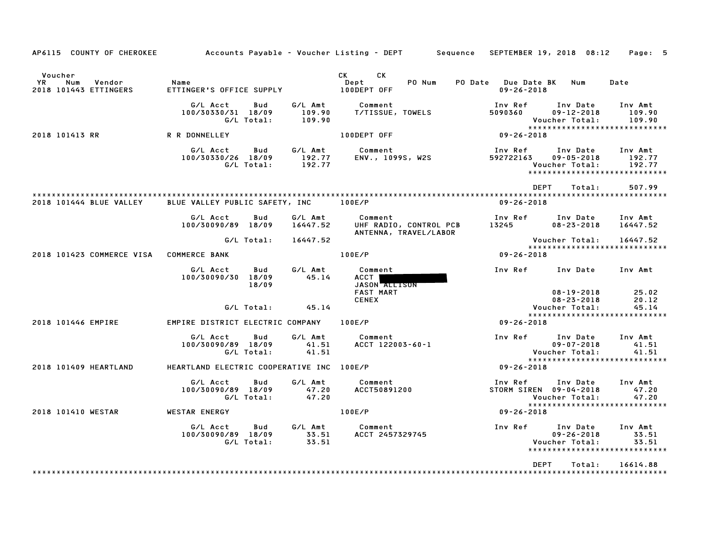| AP6115 COUNTY OF CHEROKEE                               |                                           |                   |                             | Accounts Payable – Voucher Listing – DEPT         Sequence   SEPTEMBER 19, 2018  08:12     Page:  5                                                                                                                                                                   |                                                 |                                                |                                                              |
|---------------------------------------------------------|-------------------------------------------|-------------------|-----------------------------|-----------------------------------------------------------------------------------------------------------------------------------------------------------------------------------------------------------------------------------------------------------------------|-------------------------------------------------|------------------------------------------------|--------------------------------------------------------------|
| Voucher<br>YR<br>Num<br>Vendor<br>2018 101443 ETTINGERS | Name<br>ETTINGER'S OFFICE SUPPLY          |                   |                             | CK<br>CK the control of the control of the control of the control of the control of the control of the control of the control of the control of the control of the control of the control of the control of the control of the contr<br>PO Num<br>Dept<br>100DEPT OFF | PO Date Due Date BK Num<br>$09 - 26 - 2018$     |                                                | Date                                                         |
|                                                         | G/L Acct<br>100/30330/31 18/09            | Bud<br>G/L Total: | G/L Amt<br>109.90<br>109.90 | Comment<br>T/TISSUE, TOWELS                                                                                                                                                                                                                                           | Inv Ref<br>5090360                              | Inv Date<br>$09 - 12 - 2018$<br>Voucher Total: | Inv Amt<br>109.90<br>109.90                                  |
| 2018 101413 RR                                          | R R DONNELLEY                             |                   |                             | 100DEPT OFF                                                                                                                                                                                                                                                           | 09-26-2018                                      |                                                | ******************************                               |
|                                                         | G/L Acct<br>100/30330/26 18/09            | Bud<br>G/L Total: | G/L Amt<br>192.77<br>192.77 | Comment<br>ENV., 1099S, W2S                                                                                                                                                                                                                                           | Inv Ref<br>592722163                            | Inv Date<br>$09 - 05 - 2018$<br>Voucher Total: | Inv Amt<br>192.77<br>192.77<br>***************************** |
|                                                         |                                           |                   |                             |                                                                                                                                                                                                                                                                       | DEPT                                            | Total:                                         | 507.99                                                       |
| 2018 101444 BLUE VALLEY                                 | BLUE VALLEY PUBLIC SAFETY, INC 100E/P     |                   |                             |                                                                                                                                                                                                                                                                       | $09 - 26 - 2018$                                |                                                |                                                              |
|                                                         | G/L Acct<br>100/30090/89 18/09            | Bud               | G/L Amt<br>16447.52         | Comment<br>UHF RADIO, CONTROL PCB<br>ANTENNA, TRAVEL/LABOR                                                                                                                                                                                                            | Inv Ref      Inv Date<br>13245                  | $08 - 23 - 2018$                               | Inv Amt<br>16447.52                                          |
|                                                         |                                           | G/L Total:        | 16447.52                    |                                                                                                                                                                                                                                                                       |                                                 | Voucher Total:                                 | 16447.52<br>*****************************                    |
| 2018 101423 COMMERCE VISA COMMERCE BANK                 |                                           |                   |                             | 100E/P                                                                                                                                                                                                                                                                | 09-26-2018                                      |                                                |                                                              |
|                                                         | G/L Acct<br>100/30090/30 18/09            | Bud<br>18/09      | G/L Amt<br>45.14            | Comment<br>ACCT  <br>JASON ALLISON<br><b>FAST MART</b><br><b>CENEX</b>                                                                                                                                                                                                | Inv Ref Inv Date Inv Amt                        | $08 - 19 - 2018$<br>$08 - 23 - 2018$           | 25.02<br>20.12                                               |
|                                                         |                                           | G/L Total:        | 45.14                       |                                                                                                                                                                                                                                                                       |                                                 | Voucher Total:                                 | 45.14                                                        |
| 2018 101446 EMPIRE                                      | EMPIRE DISTRICT ELECTRIC COMPANY 100E/P   |                   |                             |                                                                                                                                                                                                                                                                       | 09-26-2018                                      |                                                | *****************************                                |
|                                                         | G/L Acct<br>100/30090/89 18/09            | Bud<br>G/L Total: | G/L Amt<br>41.51<br>41.51   | Comment<br>ACCT 122003-60-1                                                                                                                                                                                                                                           | Inv Ref      Inv Date                           | $09 - 07 - 2018$<br>Voucher Total:             | Inv Amt<br>41.51<br>41.51                                    |
| 2018 101409 HEARTLAND                                   | HEARTLAND ELECTRIC COOPERATIVE INC 100E/P |                   |                             |                                                                                                                                                                                                                                                                       | $09 - 26 - 2018$                                |                                                | *****************************                                |
|                                                         | G/L Acct<br>100/30090/89 18/09            | Bud<br>G/L Total: | G/L Amt<br>47.20<br>47.20   | Comment<br>ACCT50891200                                                                                                                                                                                                                                               | Inv Ref      Inv Date<br>STORM SIREN 09-04-2018 | Voucher Total:                                 | Inv Amt<br>47.20<br>47.20                                    |
| 2018 101410 WESTAR                                      | WESTAR ENERGY                             |                   |                             | 100E/P                                                                                                                                                                                                                                                                | 09-26-2018                                      |                                                | *****************************                                |
|                                                         | G/L Acct<br>100/30090/89 18/09            | Bud<br>G/L Total: | 33.51                       | G/L Amt Comment<br>33.51 ACCT 2457329745                                                                                                                                                                                                                              | Inv Ref                                         | Inv Date<br>$09 - 26 - 2018$<br>Voucher Total: | Inv Amt<br>33.51<br>33.51<br>*****************************   |
|                                                         |                                           |                   |                             |                                                                                                                                                                                                                                                                       | <b>DEPT</b>                                     | Total:                                         | 16614.88                                                     |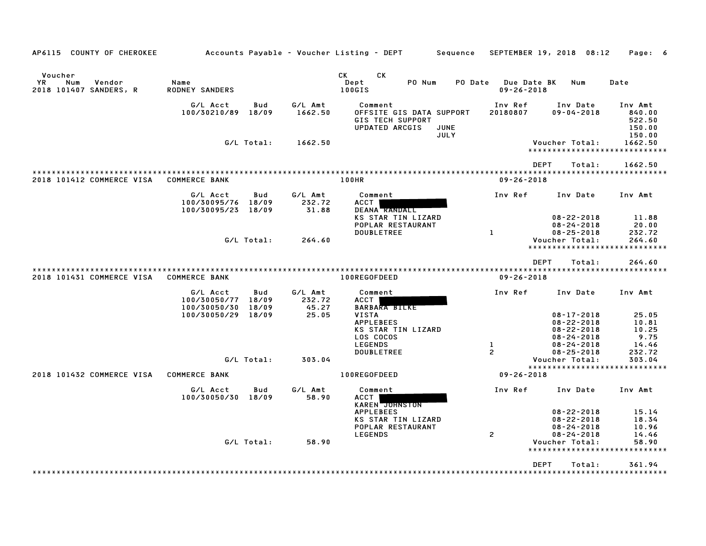| AP6115 COUNTY OF CHEROKEE                                 |                                          |                       |                            | Accounts Payable – Voucher Listing – DEPT                                        | Sequence            | SEPTEMBER 19, 2018 08:12                         |                                                          | Page: 6                                         |
|-----------------------------------------------------------|------------------------------------------|-----------------------|----------------------------|----------------------------------------------------------------------------------|---------------------|--------------------------------------------------|----------------------------------------------------------|-------------------------------------------------|
| Voucher<br>YR.<br>Num<br>Vendor<br>2018 101407 SANDERS, R | Name<br><b>RODNEY SANDERS</b>            |                       |                            | CK<br>CK<br>Dept<br>PO Num<br>100GIS                                             | PO Date             | <b>Due Date BK</b><br>$09 - 26 - 2018$           | Num                                                      | Date                                            |
|                                                           | G/L Acct<br>100/30210/89                 | Bud<br>18/09          | G/L Amt<br>1662.50         | Comment<br>OFFSITE GIS DATA SUPPORT<br><b>GIS TECH SUPPORT</b><br>UPDATED ARCGIS | JUNE<br><b>JULY</b> | Inv Ref<br>20180807                              | Inv Date<br>$09 - 04 - 2018$                             | Inv Amt<br>840.00<br>522.50<br>150.00<br>150.00 |
|                                                           |                                          | G/L Total:            | 1662.50                    |                                                                                  |                     |                                                  | Voucher Total:                                           | 1662.50<br>*****************************        |
|                                                           |                                          |                       |                            |                                                                                  |                     | <b>DEPT</b>                                      | Total:                                                   | 1662.50                                         |
| 2018 101412 COMMERCE VISA                                 | <b>COMMERCE BANK</b>                     |                       |                            | 100HR                                                                            |                     | $09 - 26 - 2018$                                 |                                                          |                                                 |
|                                                           | G/L Acct<br>100/30095/76<br>100/30095/23 | Bud<br>18/09<br>18/09 | G/L Amt<br>232.72<br>31.88 | Comment<br>ACCT<br>DEANA RANDALL                                                 |                     | Inv Ref                                          | Inv Date                                                 | Inv Amt                                         |
|                                                           |                                          |                       |                            | KS STAR TIN LIZARD<br>POPLAR RESTAURANT<br><b>DOUBLETREE</b>                     |                     | 1                                                | $08 - 22 - 2018$<br>$08 - 24 - 2018$<br>$08 - 25 - 2018$ | 11.88<br>20.00<br>232.72                        |
|                                                           |                                          | G/L Total:            | 264.60                     |                                                                                  |                     |                                                  | Voucher Total:                                           | 264.60                                          |
|                                                           |                                          |                       |                            |                                                                                  |                     |                                                  | *******************                                      | **********                                      |
|                                                           |                                          |                       |                            |                                                                                  |                     | <b>DEPT</b>                                      | Total:                                                   | 264.60                                          |
| 2018 101431 COMMERCE VISA                                 | <b>COMMERCE BANK</b>                     |                       |                            | **************************<br>100REGOFDEED                                       |                     | ****************************<br>$09 - 26 - 2018$ |                                                          |                                                 |
|                                                           | G/L Acct<br>100/30050/77<br>100/30050/30 | Bud<br>18/09<br>18/09 | G/L Amt<br>232.72<br>45.27 | Comment<br>ACCT<br><b>BARBARA BILKE</b>                                          |                     | Inv Ref                                          | Inv Date                                                 | Inv Amt                                         |
|                                                           | 100/30050/29                             | 18/09                 | 25.05                      | VISTA<br><b>APPLEBEES</b>                                                        |                     |                                                  | $08 - 17 - 2018$<br>$08 - 22 - 2018$                     | 25.05<br>10.81                                  |
|                                                           |                                          |                       |                            | KS STAR TIN LIZARD                                                               |                     |                                                  | $08 - 22 - 2018$                                         | 10.25                                           |
|                                                           |                                          |                       |                            | LOS COCOS<br><b>LEGENDS</b>                                                      |                     | 1                                                | $08 - 24 - 2018$<br>$08 - 24 - 2018$                     | 9.75<br>14.46                                   |
|                                                           |                                          |                       |                            | <b>DOUBLETREE</b>                                                                |                     | 2                                                | $08 - 25 - 2018$                                         | 232.72                                          |
|                                                           |                                          | G/L Total:            | 303.04                     |                                                                                  |                     |                                                  | Voucher Total:                                           | 303.04                                          |
| 2018 101432 COMMERCE VISA                                 | <b>COMMERCE BANK</b>                     |                       |                            | 100REGOFDEED                                                                     |                     | $09 - 26 - 2018$                                 |                                                          |                                                 |
|                                                           | G/L Acct<br>100/30050/30                 | Bud<br>18/09          | G/L Amt<br>58.90           | Comment<br>ACCT<br>KAREN JUHNSTON                                                |                     | Inv Ref                                          | Inv Date                                                 | Inv Amt                                         |
|                                                           |                                          |                       |                            | <b>APPLEBEES</b><br>KS STAR TIN LIZARD<br>POPLAR RESTAURANT                      |                     |                                                  | $08 - 22 - 2018$<br>$08 - 22 - 2018$<br>$08 - 24 - 2018$ | 15.14<br>18.34<br>10.96                         |
|                                                           |                                          | G/L Total:            | 58.90                      | <b>LEGENDS</b>                                                                   |                     | $\mathbf{z}$                                     | $08 - 24 - 2018$<br>Voucher Total:                       | 14.46<br>58.90                                  |
|                                                           |                                          |                       |                            |                                                                                  |                     |                                                  |                                                          |                                                 |
|                                                           |                                          |                       |                            |                                                                                  |                     | <b>DEPT</b>                                      | Total:                                                   | 361.94                                          |
|                                                           |                                          |                       |                            |                                                                                  |                     |                                                  |                                                          |                                                 |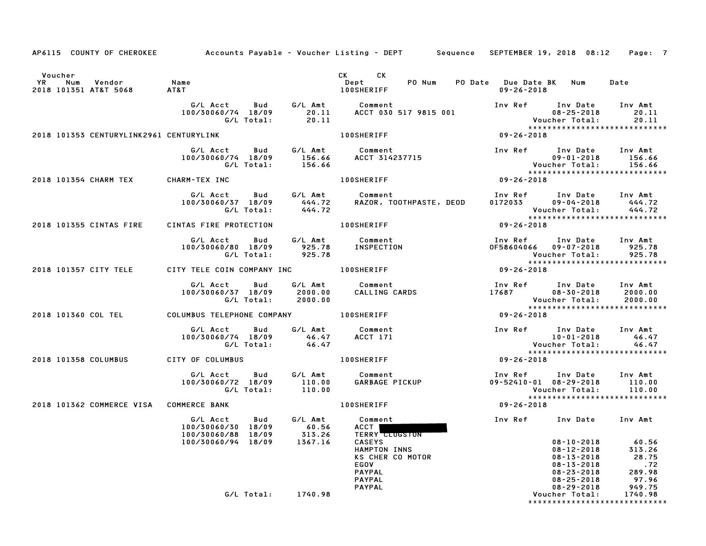|                                                                       |                                                                                                 |                  | AP6115 COUNTY OF CHEROKEE Accounts Payable - Voucher Listing - DEPT Sequence SEPTEMBER 19, 2018 08:12 Page: 7 |                                                                                                                    |                                                                                                                |                                                              |
|-----------------------------------------------------------------------|-------------------------------------------------------------------------------------------------|------------------|---------------------------------------------------------------------------------------------------------------|--------------------------------------------------------------------------------------------------------------------|----------------------------------------------------------------------------------------------------------------|--------------------------------------------------------------|
| Voucher<br><b>YR</b><br>Num Vendor Name<br>2018 101351 AT&T 5068 AT&T |                                                                                                 |                  | CK CK<br>Dept<br><b>100SHERIFF</b>                                                                            | PO Num PO Date Due Date BK Num<br>09-26-2018                                                                       |                                                                                                                | Date                                                         |
|                                                                       | G/L Total: 20.11                                                                                |                  | G/L Acct  Bud  G/L Amt  Comment<br>100/30060/74 18/09  20.11  ACCT  030  517  9815  001                       |                                                                                                                    |                                                                                                                | 20.11<br>20.11<br>******************************             |
| 2018 101353 CENTURYLINK2961 CENTURYLINK                               |                                                                                                 |                  | <b>100SHERIFF</b>                                                                                             | 09-26-2018                                                                                                         |                                                                                                                |                                                              |
|                                                                       | G/L Acct Bud<br>G/L Total:                                                                      | 156.66           | G/L Amt Comment<br>100/30060/74 18/09 156.66 ACCT 314237715                                                   | Inv Ref Inv Date Inv Amt<br>----<br>09-01-2010<br>Voucher Total: 156.66<br>******************************          |                                                                                                                |                                                              |
| 2018 101354 CHARM TEX CHARM-TEX INC                                   |                                                                                                 |                  | <b>100SHERIFF</b>                                                                                             | $09 - 26 - 2018$                                                                                                   |                                                                                                                |                                                              |
|                                                                       | G/L Acct Bud G/L Amt Comment<br>G/L Total:                                                      | 444.72           | 100/30060/37 18/09 444.72 RAZOR, TOOTHPASTE, DEOD                                                             | Inv Ref Inv Date Inv Amt<br>0172033 09-04-2018 444.72<br>Voucher Total: 444.72<br>******************************** |                                                                                                                |                                                              |
| 2018 101355 CINTAS FIRE                                               | CINTAS FIRE PROTECTION                                                                          |                  | <b>100SHERIFF</b>                                                                                             | $09 - 26 - 2018$                                                                                                   |                                                                                                                |                                                              |
|                                                                       | G/L Acct  Bud  G/L Amt  Comment<br>100/30060/80  18/09  925.78  INSPECTION<br>G/L Total: 925.78 |                  |                                                                                                               | Inv Ref Inv Date Inv Amt<br>0F58604066  09-07-2018  925.78                                                         | Voucher Total:                                                                                                 | 925.78<br>******************************                     |
| 2018 101357 CITY TELE                                                 | CITY TELE COIN COMPANY INC <b>100SHERIFF</b>                                                    |                  |                                                                                                               | 09-26-2018                                                                                                         |                                                                                                                |                                                              |
|                                                                       | G/L Acct Bud G/L Amt Comment<br>100/30060/37 18/09 2000.00<br>G/L Total: 2000.00                |                  | Comment<br>CALLING CARDS                                                                                      | Inv Ref      Inv Date     Inv Amt<br>17687           08-30-2018       2000.00<br>Voucher Total:       2000.00      | <b>Voucher Total:</b>                                                                                          |                                                              |
| 2018 101360 COL TEL COLUMBUS TELEPHONE COMPANY 100SHERIFF             |                                                                                                 |                  |                                                                                                               | 09-26-2018                                                                                                         |                                                                                                                |                                                              |
|                                                                       | G/L Acct   Bud<br>100/30060/74 18/09 46.47 ACCT 171<br>G/L Total:                               | 46.47            | G/L Amt Comment                                                                                               | Inv Ref Inv Date Inv Amt<br>10-01-2018 46.47                                                                       | Voucher Total:                                                                                                 | 46.47<br>46.47<br>*****************************              |
| 2018 101358 COLUMBUS                                                  | CITY OF COLUMBUS                                                                                |                  | <b>100SHERIFF</b>                                                                                             | 09-26-2018                                                                                                         |                                                                                                                |                                                              |
|                                                                       | G/L Acct<br><b>Bud</b><br>G/L Total:                                                            | 110.00           | G/L Amt Comment                                                                                               | Inv Ref Inv Date Inv Amt<br>09-52410-01 08-29-2018 110.00                                                          | Voucher Total: 110.00                                                                                          |                                                              |
| 2018 101362 COMMERCE VISA COMMERCE BANK                               |                                                                                                 |                  | <b>100SHERIFF</b>                                                                                             | $09 - 26 - 2018$                                                                                                   |                                                                                                                | *****************************                                |
|                                                                       | G/L Acct<br>Bud<br>100/30060/30 18/09<br>100/30060/88 18/09                                     | G/L Amt<br>60.56 | Comment<br>ACCT I<br>313.26 TERRY CLUGSTON                                                                    | Inv Ref Inv Date Inv Amt                                                                                           |                                                                                                                |                                                              |
|                                                                       | 100/30060/94 18/09                                                                              | 1367.16          | <b>CASEYS</b><br>HAMPTON INNS<br>KS CHER CO MOTOR<br>EGOV<br><b>PAYPAL</b><br><b>PAYPAL</b><br><b>PAYPAL</b>  |                                                                                                                    | $08 - 10 - 2018$<br>$08 - 12 - 2018$<br>$08 - 13 - 2018$<br>08-13-2018<br>$08 - 23 - 2018$<br>$08 - 25 - 2018$ | 60.56<br>313.26<br>28.75<br>.72<br>289.98<br>97.96<br>949.75 |
|                                                                       | G/L Total:                                                                                      | 1740.98          |                                                                                                               |                                                                                                                    | $08 - 29 - 2018$<br>Voucher Total:                                                                             | 1740.98<br>*****************************                     |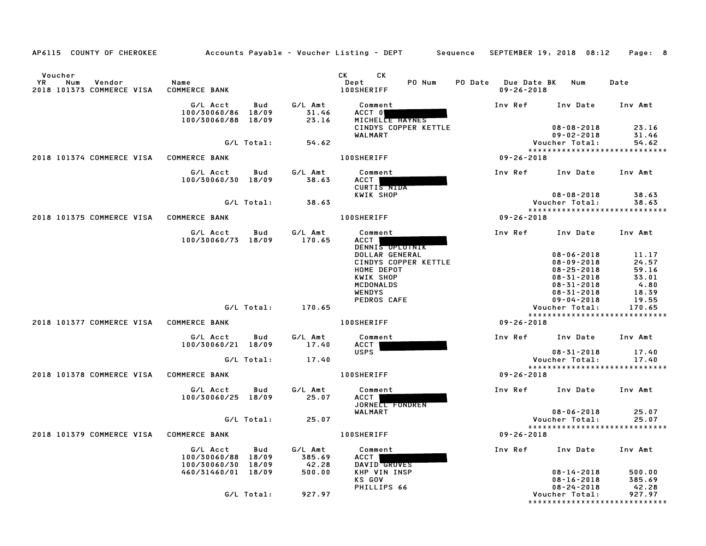| AP6115 COUNTY OF CHEROKEE                                    |                                                      |            |                           | Accounts Payable – Voucher Listing – DEPT         Sequence                                                                                                                                                                                                                  | SEPTEMBER 19, 2018 08:12                    |                                                                              | Page: 8                                 |
|--------------------------------------------------------------|------------------------------------------------------|------------|---------------------------|-----------------------------------------------------------------------------------------------------------------------------------------------------------------------------------------------------------------------------------------------------------------------------|---------------------------------------------|------------------------------------------------------------------------------|-----------------------------------------|
| Voucher<br>YR.<br>Num<br>Vendor<br>2018 101373 COMMERCE VISA | Name<br><b>COMMERCE BANK</b>                         |            |                           | CK<br>CK and the set of the set of the set of the set of the set of the set of the set of the set of the set of the set of the set of the set of the set of the set of the set of the set of the set of the set of the set of the se<br>PO Num<br>Dept<br><b>100SHERIFF</b> | PO Date Due Date BK Num<br>$09 - 26 - 2018$ |                                                                              | Date                                    |
|                                                              | G/L Acct<br>100/30060/86 18/09<br>100/30060/88 18/09 | Bud        | G/L Amt<br>31.46<br>23.16 | Comment<br>ACCT 0<br>MICHELLE HAYNES<br>CINDYS COPPER KETTLE                                                                                                                                                                                                                | Inv Ref                                     | Inv Date<br>$08 - 08 - 2018$                                                 | Inv Amt<br>23.16                        |
|                                                              |                                                      | G/L Total: | 54.62                     | WALMART                                                                                                                                                                                                                                                                     |                                             | $09 - 02 - 2018$<br>Voucher Total:                                           | 31.46<br>54.62                          |
| 2018 101374 COMMERCE VISA                                    | <b>COMMERCE BANK</b>                                 |            |                           | <b>100SHERIFF</b>                                                                                                                                                                                                                                                           | $09 - 26 - 2018$                            |                                                                              | *****************************           |
|                                                              | G/L Acct<br>100/30060/30 18/09                       | Bud        | G/L Amt<br>38.63          | Comment<br>ACCT I<br>CURTIS NIDA                                                                                                                                                                                                                                            | Inv Ref                                     | Inv Date                                                                     | Inv Amt                                 |
|                                                              |                                                      | G/L Total: | 38.63                     | KWIK SHOP                                                                                                                                                                                                                                                                   |                                             | $08 - 08 - 2018$<br>Voucher Total:                                           | 38.63<br>38.63                          |
| 2018 101375 COMMERCE VISA                                    | <b>COMMERCE BANK</b>                                 |            |                           | <b>100SHERIFF</b>                                                                                                                                                                                                                                                           | $09 - 26 - 2018$                            |                                                                              | *****************************           |
|                                                              | G/L Acct<br>100/30060/73 18/09                       | Bud        | G/L Amt<br>170.65         | Comment<br>ACCT  <br>DENNIS OPLOTNIK                                                                                                                                                                                                                                        | Inv Ref                                     | Inv Date                                                                     | Inv Amt                                 |
|                                                              |                                                      |            |                           | DOLLAR GENERAL<br>CINDYS COPPER KETTLE<br>HOME DEPOT<br>KWIK SHOP                                                                                                                                                                                                           |                                             | $08 - 06 - 2018$<br>$08 - 09 - 2018$<br>$08 - 25 - 2018$<br>$08 - 31 - 2018$ | 11.17<br>24.57<br>59.16<br>33.01        |
|                                                              |                                                      |            |                           | <b>MCDONALDS</b><br><b>WENDYS</b><br>PEDROS CAFE                                                                                                                                                                                                                            |                                             | $08 - 31 - 2018$<br>$08 - 31 - 2018$<br>$09 - 04 - 2018$                     | 4.80<br>18.39<br>19.55                  |
|                                                              |                                                      | G/L Total: | 170.65                    |                                                                                                                                                                                                                                                                             |                                             | Voucher Total:                                                               | 170.65<br>***************************** |
| 2018 101377 COMMERCE VISA COMMERCE BANK                      |                                                      |            |                           | <b>100SHERIFF</b>                                                                                                                                                                                                                                                           | $09 - 26 - 2018$                            |                                                                              |                                         |
|                                                              | G/L Acct<br>100/30060/21 18/09                       | Bud        | G/L Amt<br>17.40          | Comment<br>ACCT                                                                                                                                                                                                                                                             | Inv Ref                                     | Inv Date                                                                     | Inv Amt                                 |
|                                                              |                                                      | G/L Total: | 17.40                     | <b>USPS</b>                                                                                                                                                                                                                                                                 |                                             | $08 - 31 - 2018$<br>Voucher Total:                                           | 17.40<br>17.40                          |
| 2018 101378 COMMERCE VISA                                    | <b>COMMERCE BANK</b>                                 |            |                           | <b>100SHERIFF</b>                                                                                                                                                                                                                                                           | $09 - 26 - 2018$                            |                                                                              | *****************************           |
|                                                              | G/L Acct<br>100/30060/25 18/09                       | Bud        | G/L Amt<br>25.07          | Comment<br>ACCT<br>JORNELL FONDREN                                                                                                                                                                                                                                          | Inv Ref                                     | Inv Date Inv Amt                                                             |                                         |
|                                                              |                                                      | G/L Total: | 25.07                     | WALMART                                                                                                                                                                                                                                                                     |                                             | $08 - 06 - 2018$<br>Voucher Total:                                           | 25.07<br>25.07                          |
| 2018 101379 COMMERCE VISA                                    | <b>COMMERCE BANK</b>                                 |            |                           | <b>100SHERIFF</b>                                                                                                                                                                                                                                                           | $09 - 26 - 2018$                            |                                                                              | *****************************           |
|                                                              | G/L Acct<br>100/30060/88 18/09                       | Bud        | G/L Amt<br>385.69         | Comment<br>ACCT                                                                                                                                                                                                                                                             | Inv Ref Inv Date                            |                                                                              | Inv Amt                                 |
|                                                              | 100/30060/30 18/09<br>460/31460/01 18/09             |            | 42.28<br>500.00           | DAVID GROVES<br>KHP VIN INSP<br><b>KS GOV</b>                                                                                                                                                                                                                               |                                             | $08 - 14 - 2018$<br>$08 - 16 - 2018$                                         | 500.00<br>385.69                        |
|                                                              |                                                      | G/L Total: | 927.97                    | PHILLIPS 66                                                                                                                                                                                                                                                                 |                                             | $08 - 24 - 2018$<br>Voucher Total:<br>*****************                      | 42.28<br>927.97<br>**********           |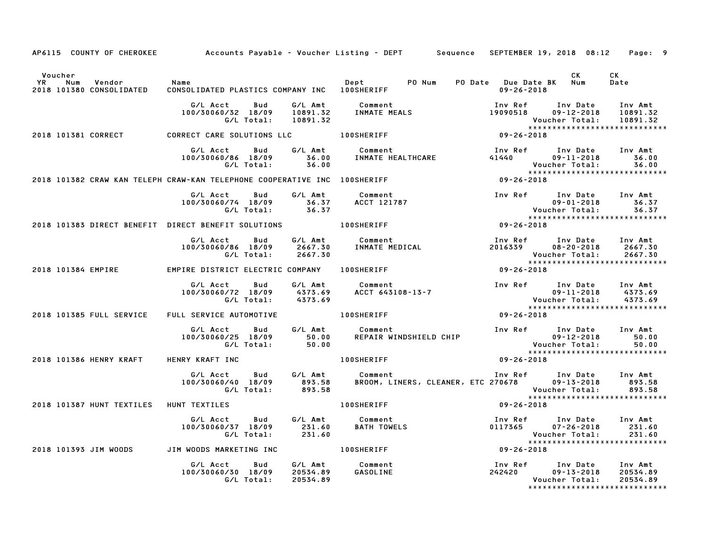|                                                                        |                                                                                                                                                  |                                                                                                        | AP6115 COUNTY OF CHEROKEE Accounts Payable - Voucher Listing - DEPT Sequence SEPTEMBER 19, 2018 08:12 Page: 9                                                                                                                                                             |
|------------------------------------------------------------------------|--------------------------------------------------------------------------------------------------------------------------------------------------|--------------------------------------------------------------------------------------------------------|---------------------------------------------------------------------------------------------------------------------------------------------------------------------------------------------------------------------------------------------------------------------------|
| Voucher<br><b>YR</b><br>Num<br>Vendor Name<br>2018 101380 CONSOLIDATED |                                                                                                                                                  |                                                                                                        | CK<br><b>CK</b><br>Date                                                                                                                                                                                                                                                   |
|                                                                        |                                                                                                                                                  |                                                                                                        | 6/L Acct bud 6/L Amt Comment Inv Ref Inv Date Inv Amt<br>100/30060/32 18/09 10891.32 INMATEMEALS 19090518 09–12–2018 10891.32<br>6/L Total: 10891.32 Voucher Total: 10891.32<br>RRECT CARE SOLUTIONS LLC 100SHERIFF 1009-26-2018                                          |
|                                                                        | 2018 101381 CORRECT <b>CORRECT CARE SOLUTIONS LLC</b> 100SHERIFF                                                                                 |                                                                                                        |                                                                                                                                                                                                                                                                           |
|                                                                        | G/L Acct<br><b>Bud</b><br>100/30060/86 18/09 36.00<br>G/L Total: 36.00                                                                           |                                                                                                        | G/L Amt Comment 56.00 COMMATE HEALTHCARE THEALTHCARE COMMENT SALLO ALAGO COMMATE HEALTHCARE COMMENT SALLO ALAGO COMMENT SALLO ALAGO COMMENT SALLO ALAGO COMMENT SALLO ALAGO COMMENT SALLO ANGELE ALLO MATERIAL SALLO ALLO MATE<br>36.00<br>****************************** |
|                                                                        |                                                                                                                                                  | 2018 101382 CRAW KAN TELEPH CRAW-KAN TELEPHONE COOPERATIVE INC 100SHERIFF 77 78 709-26-2018            |                                                                                                                                                                                                                                                                           |
|                                                                        | G/L Acct Bud G/L Amt Comment<br>100/30060/74 18/09 36.37 ACCT 121787<br>G/L Total: 36.37                                                         |                                                                                                        | Inv Ref Inv Date Inv Amt<br>09-01-2018 36.37<br>Voucher Total: 36.37<br>86.37<br>09-26-2018                                                                                                                                                                               |
|                                                                        | 2018 101383 DIRECT BENEFIT DIRECT BENEFIT SOLUTIONS 100SHERIFF                                                                                   |                                                                                                        |                                                                                                                                                                                                                                                                           |
|                                                                        |                                                                                                                                                  | G/L Acct  Bud  G/L Amt  Comment<br>100/30060/86 18/09  2667.30  INMATE  MEDICAL<br>G/L Total:  2667.30 | Inv Ref       Inv Date     Inv Amt<br>2016339        08–20–2018      2667.30<br>*****************************                                                                                                                                                             |
|                                                                        | 2018 101384 EMPIRE <b>EMPIRE DISTRICT ELECTRIC COMPANY</b> 100SHERIFF                                                                            |                                                                                                        | $09 - 26 - 2018$                                                                                                                                                                                                                                                          |
|                                                                        |                                                                                                                                                  |                                                                                                        | 6/L Acct Bud G/L Amt Comment Inv Ref Inv Date Inv Amt<br>100/30060/72 18/09 4373.69 ACCT 643108-13-7 100/30060/72 18/09 4373.69<br>- G/L Total: 4373.69 6/L Total: 4373.69<br>*****************************                                                               |
| 2018 101385 FULL SERVICE                                               | FULL SERVICE AUTOMOTIVE <b>THE REAL SERVICE</b>                                                                                                  |                                                                                                        | $09 - 26 - 2018$                                                                                                                                                                                                                                                          |
|                                                                        | G/L Acct Bud G/L Amt Comment<br>100/30060/25 18/09 50.00<br>G/L Total: 50.00                                                                     |                                                                                                        | است المستورج المستعمر المستعمر المستعمر المستعمر المستعمر المستعمر المستعمر المستعمر المستعمر المستعمر المستع<br>199-12-2010 199-12-2010 199-12-2010                                                                                                                      |
| 2018 101386 HENRY KRAFT                                                | HENRY KRAFT INC                                                                                                                                  | <b>100SHERIFF</b>                                                                                      | $09 - 26 - 2018$                                                                                                                                                                                                                                                          |
|                                                                        |                                                                                                                                                  |                                                                                                        | G/L Acct Bud G/L Amt Comment Inv Ref Inv Date Inv Amt<br>100/30060/40 18/09 893.58 BROOM, LINERS, CLEANER, ETC 270678 09–13–2018 893.58<br>G/L Total: 893.58 BROOM, LINERS, CLEANER, ETC 270678 Voucher Total: 893.58                                                     |
| 2018 101387 HUNT TEXTILES HUNT TEXTILES                                |                                                                                                                                                  | $09 - 26 - 2018$<br><b>100SHERIFF</b>                                                                  | *****************************                                                                                                                                                                                                                                             |
|                                                                        | G/L Acct Bud<br>100/30060/37 18/09 231.60 BATH TOWELS<br>G/L Total: 231.60 BATH TOWELS                                                           | G/L Amt Comment                                                                                        | Inv Ref Inv Date Inv Amt<br>$0117365$ $07-26-2018$ $231.60$<br>Voucher Total:<br>231.60                                                                                                                                                                                   |
|                                                                        | المادة المناطقة بين المناطقة بين المناطقة بين المناطقة بين المناطقة بين المناطقة المناطقة بين المناطقة المناط<br>2018 DIM WOODS TO MARKETING INC |                                                                                                        | 09-26-2018                                                                                                                                                                                                                                                                |
|                                                                        | G/L Acct Bud G/L Amt Comment<br>100/30060/30 18/09 20534.89 GASOLINE<br>G/L Total: 20534.89                                                      |                                                                                                        | Inv Ref      Inv Date    Inv Amt<br>242420         09–13–2018    20534.89<br>Voucher Total:<br>20534.89<br>*****************************                                                                                                                                  |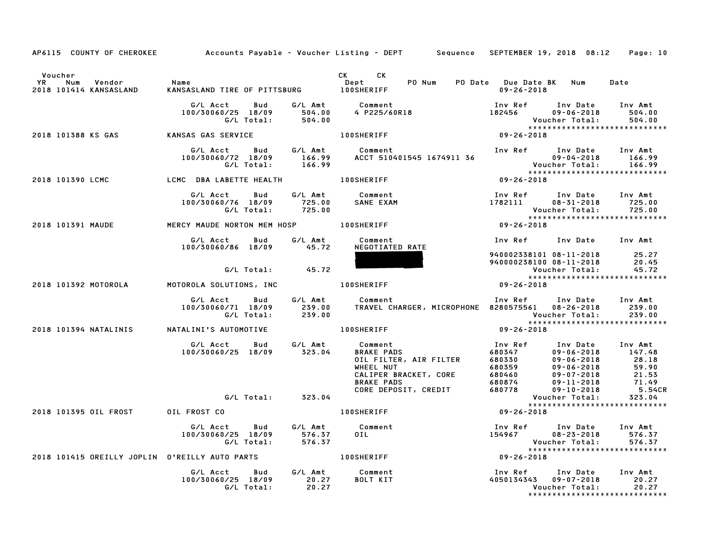|                                                               |                                                                                             | AP6115 COUNTY OF CHEROKEE Accounts Payable - Voucher Listing - DEPT Sequence SEPTEMBER 19, 2018 08:12 Page: 10                                                                                                                           |                                                                                                                   |                                                       |                                                        |
|---------------------------------------------------------------|---------------------------------------------------------------------------------------------|------------------------------------------------------------------------------------------------------------------------------------------------------------------------------------------------------------------------------------------|-------------------------------------------------------------------------------------------------------------------|-------------------------------------------------------|--------------------------------------------------------|
| Voucher                                                       |                                                                                             | CK CK<br>Dept PO Num PO Date Due Date BK Num                                                                                                                                                                                             |                                                                                                                   |                                                       |                                                        |
| Name Vendor Name<br>2018 101414 KANSASLAND KANSAS             |                                                                                             |                                                                                                                                                                                                                                          | 09-26-2018                                                                                                        |                                                       | Date                                                   |
|                                                               |                                                                                             | G/L Acct Bud G/L Amt Comment Inv Ref Inv Date Inv Amt<br>100/30060/25 18/09 504.00 4 P225/60R18 182456 09-06-2018 504.00<br>C/L Total: 504.00 61 504.00 C/L Total: 504.00<br>2018 101388 KS GAS NANSAS GAS SERVICE 100SHERIFF 10011888   |                                                                                                                   | Voucher Total: 504.00<br>**************************** | 504.00                                                 |
|                                                               |                                                                                             |                                                                                                                                                                                                                                          |                                                                                                                   |                                                       |                                                        |
|                                                               |                                                                                             | G/L Acct Bud G/L Amt Comment Inv Ref Inv Date Inv Amt<br>100/30060/72 18/09 166.99 ACCT 510401545 1674911 36 09-04-2018 166.99<br>G/L Total: 166.99 RCCT 510401545 1674911 36 Voucher Total: 166.99<br>MC DBA LABETTE HEALTH 100SHERIFF  |                                                                                                                   |                                                       |                                                        |
| 2018 101390 LCMC COME COME LCMC DBA LABETTE HEALTH 100SHERIFF |                                                                                             |                                                                                                                                                                                                                                          |                                                                                                                   |                                                       |                                                        |
|                                                               | G/L Acct Bud<br>100/30060/76 18/09 725.00 SANE EXAM<br>G/L Total: 725.00                    | G/L Amt Comment                                                                                                                                                                                                                          | 100 Find The Date of The Amt<br>1782111 108-31-2018 725.00<br>101666 Total: 125.00                                |                                                       | Voucher Total: 725.00<br>***************************** |
|                                                               |                                                                                             | G/L Total: 725.00<br>(****<br>MERCY MAUDE MORTON MEM HOSP 100SHERIFF 1008 MERCY MAUDE MORTON MEM HOSP 100SHERIFF 109-26-2018                                                                                                             |                                                                                                                   |                                                       |                                                        |
|                                                               | G/L Acct      Bud      G/L Amt        Comment<br>100/30060/86 18/09 45.72                   | NEGOTIATED RATE                                                                                                                                                                                                                          | Inv Ref Inv Date Inv Amt                                                                                          |                                                       |                                                        |
|                                                               | G/L Total: 45.72                                                                            |                                                                                                                                                                                                                                          |                                                                                                                   |                                                       |                                                        |
| 2018 101392 MOTOROLA MOTOROLA SOLUTIONS, INC 400SHERIFF       |                                                                                             |                                                                                                                                                                                                                                          |                                                                                                                   |                                                       |                                                        |
|                                                               | G/L Acct Bud G/L Amt Comment                                                                | 100/30060/71 18/09 239.00 TRAVEL CHARGER, MICROPHONE 8280575561 08-26-2018 239.00<br>G/L Total: 239.00 239.00 C/L 70tal: 239.00                                                                                                          | Inv Ref Inv Date Inv Amt<br>Voucher Total: 239.00<br>****************************                                 |                                                       |                                                        |
| 2018 101394 NATALINIS             NATALINI'S AUTOMOTIVE       |                                                                                             |                                                                                                                                                                                                                                          |                                                                                                                   |                                                       |                                                        |
|                                                               |                                                                                             | 6/L Acct Bud G/L Amt Comment<br>100/30060/25 18/09 323.04 BRAKE PADS<br>011 FILTER, AIR FILTER 680347 09-06-2018 147.48<br>WHEEL NUT 680359 09-06-2018 28.18<br>WHEEL NUT 680359 09-06-2018 59.90<br>CALIPER BRACKET, CORE 680460 09-07- |                                                                                                                   |                                                       | <b>5.54CR</b>                                          |
|                                                               |                                                                                             |                                                                                                                                                                                                                                          |                                                                                                                   |                                                       |                                                        |
| 2018 101395 OIL FROST OIL FROST CO                            |                                                                                             | 100SHERIFF                                                                                                                                                                                                                               | $09 - 26 - 2018$                                                                                                  | *****************************                         |                                                        |
|                                                               |                                                                                             | G/L Amt Comment<br>G/L Acct Bud G/L Amt Comment<br>100/30060/25 18/09 576.37 OIL<br>2018 101415 OREILLY JOPLIN O'REILLY AUTO PARTS 100SHERIFF                                                                                            | Inv Ref Inv Date Inv Amt<br>$154967$ $08-23-2018$ 576.37<br>Voucher Total: 576.37<br>**************************** |                                                       |                                                        |
|                                                               |                                                                                             |                                                                                                                                                                                                                                          | $09 - 26 - 2018$                                                                                                  |                                                       |                                                        |
|                                                               | G/L Acct  Bud  G/L Amt  Comment<br>100/30060/25 18/09  20.27  BOLT KIT<br>G/L Total:  20.27 |                                                                                                                                                                                                                                          | 100 Ref 100 Date 100 Amt<br>1050134343 09-07-2018 20.27                                                           | Voucher Total:<br>*****************************       | 20.27                                                  |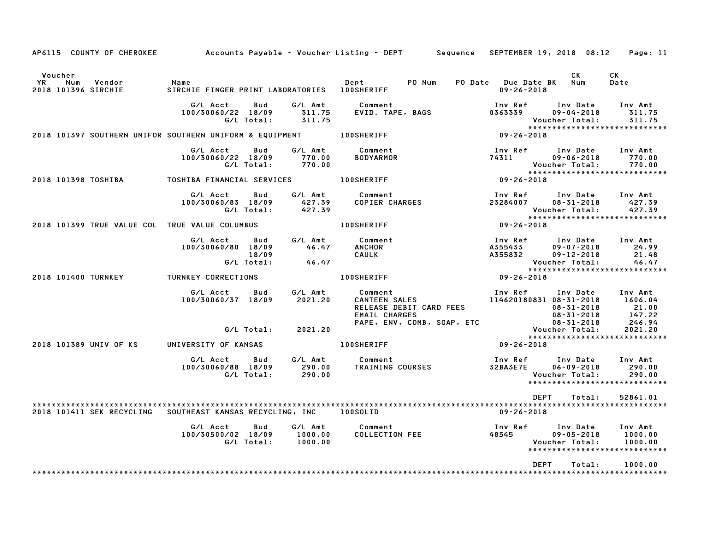| AP6115 COUNTY OF CHEROKEE                                           |                                                       |                   |                             | Accounts Payable – Voucher Listing – DEPT         Sequence   SEPTEMBER 19, 2018  08:12                                                                                              |                               |                                 |                                                                                                 | Page: 11                                                              |
|---------------------------------------------------------------------|-------------------------------------------------------|-------------------|-----------------------------|-------------------------------------------------------------------------------------------------------------------------------------------------------------------------------------|-------------------------------|---------------------------------|-------------------------------------------------------------------------------------------------|-----------------------------------------------------------------------|
| Voucher<br>YR<br>Num<br>Vendor<br>2018 101396 SIRCHIE               | Name<br>SIRCHIE FINGER PRINT LABORATORIES  100SHERIFF |                   |                             | Dept PO Num                                                                                                                                                                         |                               | $09 - 26 - 2018$                | CK<br>PO Date Due Date BK Num                                                                   | <b>CK</b><br>Date                                                     |
|                                                                     | G/L Acct<br>100/30060/22 18/09                        | Bud<br>G/L Total: | G/L Amt<br>311.75<br>311.75 | Comment                                                                                                                                                                             |                               | Vouc<br>*****<br>09-26-2018     | Voucher Total:                                                                                  | 311.75<br>311.75<br>******************************                    |
| 2018 101397 SOUTHERN UNIFOR SOUTHERN UNIFORM & EQUIPMENT 100SHERIFF |                                                       |                   |                             |                                                                                                                                                                                     |                               |                                 |                                                                                                 |                                                                       |
|                                                                     | G/L Acct<br>100/30060/22 18/09                        | Bud<br>G/L Total: | 770.00<br>770.00            | G/L Amt Comment<br><b>BODYARMOR</b>                                                                                                                                                 |                               | Inv Ref<br>74311                | Inv Date<br>$09 - 06 - 2018$<br>Voucher Total:                                                  | Inv Amt<br>770.00<br>770.00<br>*****************************          |
| 2018 101398 TOSHIBA TOSHIBA FINANCIAL SERVICES 100SHERIFF           |                                                       |                   |                             |                                                                                                                                                                                     | $8 + x + x + y$<br>09-26-2018 |                                 |                                                                                                 |                                                                       |
|                                                                     | G/L Acct<br>100/30060/83 18/09                        | Bud<br>G/L Total: | 427.39<br>427.39            | Comment<br>COPIER CHARGES<br>G/L Amt Comment                                                                                                                                        |                               | Inv Ref<br>23284007             | $08 - 31 - 2018$<br><b>Voucher Total:</b><br>*****************<br>09-26-2018                    | Inv Date Inv Amt<br>427.39<br>427.39<br>***************************** |
| 2018 101399 TRUE VALUE COL TRUE VALUE COLUMBUS                      |                                                       |                   |                             | <b>100SHERIFF</b>                                                                                                                                                                   |                               |                                 |                                                                                                 |                                                                       |
|                                                                     | G/L Acct<br>100/30060/80 18/09 46.47                  |                   |                             | Bud G/L Amt Comment<br><b>ANCHOR</b><br>CAULK                                                                                                                                       |                               |                                 | Inv Ref      Inv Date     Inv Amt<br>A355433 09-07-2018<br>A355832 09-12-2018<br>Voucher Total: | 24.99<br>21.48<br>46.47                                               |
| 2018 101400 TURNKEY                                                 | <b>TURNKEY CORRECTIONS</b>                            |                   |                             | 100SHERIFF                                                                                                                                                                          |                               | Vouc<br>* * * * *<br>09-26-2018 |                                                                                                 | *****************************                                         |
|                                                                     | G/L Acct Bud G/L Amt Comment<br>100/30060/37 18/09    |                   | 2021.20                     | Comment<br>CANTEEN SALES<br>CANTEEN SALES<br>RELEASE DEBIT CARD FEES<br>EMAIL CHARGES<br>EMAIL CHARGES<br>PAPE, ENV, COMB, SOAP, ETC<br>PAPE, ENV, COMB, SOAP, ETC<br>PAPE, 2021.20 |                               |                                 |                                                                                                 | 1606.04<br>21.00<br>147.22<br>246.94                                  |
|                                                                     |                                                       |                   | G/L Total: 2021.20          |                                                                                                                                                                                     |                               |                                 |                                                                                                 | 2021.20<br>*****************************                              |
| 2018 101389 UNIV OF KS                                              | UNIVERSITY OF KANSAS                                  |                   |                             | 100SHERIFF                                                                                                                                                                          |                               | 09-26-2018                      |                                                                                                 |                                                                       |
|                                                                     | G/L Acct<br>100/30060/88 18/09                        | G/L Total:        | $290.00$<br>290.00          | Bud G/L <mark>Amt Comment (1990) Sud G/LAmt Comment (1990)</mark><br>18/09 290.00 TRAINING COURSES 32BA3E7E 06-09-2018 290.00<br>1990.00 Voucher Total: 290.00                      |                               |                                 | Voucher Total:                                                                                  | 290.00<br>290.00<br>*****************************                     |
| 2018 101411 SEK RECYCLING SOUTHEAST KANSAS RECYCLING, INC 100SOLID  |                                                       |                   |                             |                                                                                                                                                                                     |                               | 09-26-2018                      | DEPT<br>Total:                                                                                  | 52861.01                                                              |
|                                                                     | G/L Acct<br>100/30500/02 18/09                        | Bud<br>G/L Total: | 1000.00<br>1000.00          | G/L Amt Comment<br>Comment                                  Inv Ref<br>COLLECTION FEE                       48545                                                                   |                               |                                 | Inv Date<br>$09 - 05 - 2018$<br>Voucher Total:                                                  | Inv Amt<br>1000.00<br>1000.00<br>******************************       |
|                                                                     |                                                       |                   |                             |                                                                                                                                                                                     |                               |                                 | <b>DEPT</b><br>Total:                                                                           | 1000.00                                                               |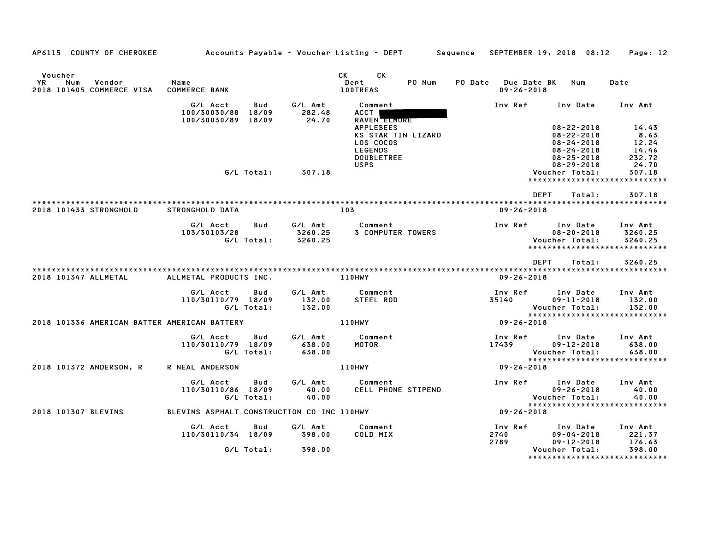| AP6115 COUNTY OF CHEROKEE                                          |                                            |                   |                               | Accounts Payable – Voucher Listing – DEPT       Sequence |                    |                                         | SEPTEMBER 19, 2018 08:12                                                         | Page: 12                      |
|--------------------------------------------------------------------|--------------------------------------------|-------------------|-------------------------------|----------------------------------------------------------|--------------------|-----------------------------------------|----------------------------------------------------------------------------------|-------------------------------|
| Voucher<br><b>YR</b><br>Num<br>Vendor<br>2018 101405 COMMERCE VISA | Name<br><b>COMMERCE BANK</b>               |                   |                               | <b>CK</b><br>CK.<br>Dept<br><b>100TREAS</b>              | PO Num             | PO Date Due Date BK<br>$09 - 26 - 2018$ | Num                                                                              | Date                          |
|                                                                    | G/L Acct<br>100/30030/88                   | Bud<br>18/09      | G/L Amt<br>282.48             | Comment<br>ACCT                                          |                    | Inv Ref                                 | Inv Date                                                                         | Inv Amt                       |
|                                                                    | 100/30030/89 18/09                         |                   | 24.70                         | <b>RAVEN ELMORE</b><br><b>APPLEBEES</b><br>LOS COCOS     | KS STAR TIN LIZARD |                                         | $08 - 22 - 2018$<br>$08 - 22 - 2018$<br>$08 - 24 - 2018$                         | 14.43<br>8.63<br>12.24        |
|                                                                    |                                            |                   |                               | <b>LEGENDS</b><br><b>DOUBLETREE</b><br><b>USPS</b>       |                    |                                         | $08 - 24 - 2018$<br>$08 - 25 - 2018$<br>$08 - 29 - 2018$                         | 14.46<br>232.72<br>24.70      |
|                                                                    |                                            | G/L Total:        | 307.18                        |                                                          |                    |                                         | Voucher Total:<br>*****************************                                  | 307.18                        |
|                                                                    |                                            |                   |                               |                                                          |                    |                                         | <b>DEPT</b><br>Total:                                                            | 307.18                        |
| 2018 101433 STRONGHOLD                                             | STRONGHOLD DATA                            |                   |                               | 103                                                      |                    | $09 - 26 - 2018$                        |                                                                                  |                               |
|                                                                    | G/L Acct<br>103/30103/28                   | Bud<br>G/L Total: | G/L Amt<br>3260.25<br>3260.25 | Comment<br><b>3 COMPUTER TOWERS</b>                      |                    | Inv Ref                                 | Inv Date<br>$08 - 20 - 2018$<br>Voucher Total:<br>****************************** | Inv Amt<br>3260.25<br>3260.25 |
| 2018 101347 ALLMETAL                                               | ALLMETAL PRODUCTS INC.                     |                   |                               | 110HWY                                                   |                    | $09 - 26 - 2018$                        | <b>DEPT</b><br>Total:                                                            | 3260.25                       |
|                                                                    | G/L Acct<br>110/30110/79 18/09             | Bud<br>G/L Total: | G/L Amt<br>132.00<br>132.00   | Comment<br>STEEL ROD                                     |                    | Inv Ref<br>35140                        | Inv Date<br>$09 - 11 - 2018$<br>Voucher Total:                                   | Inv Amt<br>132.00<br>132.00   |
| 2018 101336 AMERICAN BATTER AMERICAN BATTERY                       |                                            |                   |                               | 110HWY                                                   |                    | 09-26-2018                              | *****************************                                                    |                               |
|                                                                    | G/L Acct<br>110/30110/79 18/09             | Bud<br>G/L Total: | G/L Amt<br>638.00<br>638.00   | Comment<br>MOTOR                                         |                    | Inv Ref<br>17439                        | Inv Date<br>$09 - 12 - 2018$<br>Voucher Total:                                   | Inv Amt<br>638.00<br>638.00   |
| 2018 101372 ANDERSON, R                                            | R NEAL ANDERSON                            |                   |                               | 110HWY                                                   |                    | $09 - 26 - 2018$                        | ******************************                                                   |                               |
|                                                                    | G/L Acct<br>110/30110/86 18/09             | Bud<br>G/L Total: | G/L Amt<br>40.00<br>40.00     | Comment                                                  | CELL PHONE STIPEND | Inv Ref                                 | Inv Date<br>$09 - 26 - 2018$<br>Voucher Total:<br>*****************************  | Inv Amt<br>40.00<br>40.00     |
| 2018 101307 BLEVINS                                                | BLEVINS ASPHALT CONSTRUCTION CO INC 110HWY |                   |                               |                                                          |                    | 09-26-2018                              |                                                                                  |                               |
|                                                                    | G/L Acct<br>110/30110/34 18/09             | Bud               | G/L Amt<br>398.00             | Comment<br>COLD MIX                                      |                    | Inv Ref<br>2740<br>2789                 | Inv Date<br>$09 - 04 - 2018$<br>$09 - 12 - 2018$                                 | Inv Amt<br>221.37<br>176.63   |
|                                                                    |                                            | G/L Total:        | 398.00                        |                                                          |                    |                                         | Voucher Total:<br>*******************************                                | 398.00                        |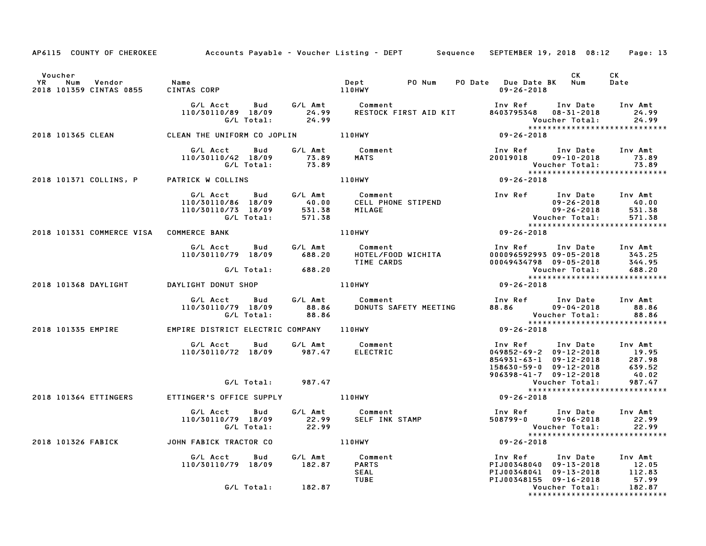|                                                                   |                                                                                         | AP6115 COUNTY OF CHEROKEE Accounts Payable - Voucher Listing - DEPT Sequence SEPTEMBER 19, 2018 08:12 Page: 13                                                                                                                          |                                                                                                                                                    |                               |
|-------------------------------------------------------------------|-----------------------------------------------------------------------------------------|-----------------------------------------------------------------------------------------------------------------------------------------------------------------------------------------------------------------------------------------|----------------------------------------------------------------------------------------------------------------------------------------------------|-------------------------------|
| Voucher                                                           |                                                                                         |                                                                                                                                                                                                                                         | <b>CK</b>                                                                                                                                          | CK<br>Date                    |
|                                                                   |                                                                                         | G/L Acct Bud G/L Amt Comment Inv Ref Inv Date Inv Amt<br>110/30110/89 18/09 24.99 RESTOCK FIRST AID KIT 8403795348 08–31–2018 24.99<br>G/L Total: 24.99 24.99                                                                           | Voucher Total: 24.99<br>***************************                                                                                                |                               |
| 2018 101365 CLEAN 6 CLEAN THE UNIFORM CO JOPLIN 110HWY            |                                                                                         |                                                                                                                                                                                                                                         | $09 - 26 - 2018$                                                                                                                                   |                               |
|                                                                   | G/L Acct  Bud  G/L Amt  Comment<br>110/30110/42 18/09  73.89  MATS<br>G/L Total:  73.89 | 6/L Total: 73.89<br>2018 101371 COLLINS, P PATRICK W COLLINS<br>2018 101371 COLLINS, P PATRICK W COLLINS 110HWY 110HWY 110HWY 99-26-2018                                                                                                |                                                                                                                                                    |                               |
|                                                                   |                                                                                         |                                                                                                                                                                                                                                         |                                                                                                                                                    |                               |
|                                                                   |                                                                                         | G/L Acct Bud G/L Amt Comment<br>110/30110/86 18/09 40.00 CELL PHONE STIPEND<br>110/30110/73 18/09 531.38 MILAGE<br>G/L Total: 571.38                                                                                                    |                                                                                                                                                    |                               |
| 2018 101331 COMMERCE VISA COMMERCE BANK                           |                                                                                         | 110HWY                                                                                                                                                                                                                                  | $09 - 26 - 2018$                                                                                                                                   |                               |
|                                                                   |                                                                                         | G/L Acct Bud G/L Amt Comment Inv Ref Inv Date Inv Amt<br>110/30110/79 18/09 688.20 HOTEL/FOOD WICHITA 000096592993 09-05-2018 343.25<br>G/L Total: 688.20 TIME CARDS 00049434798 09-05-2018 344.95<br>2018 101368 DAYLIGHT DONUT SHOP 1 | Inv Ref      Inv Date    Inv Amt<br>000096592993 09–05–2018        343.25                                                                          |                               |
|                                                                   |                                                                                         |                                                                                                                                                                                                                                         |                                                                                                                                                    |                               |
|                                                                   |                                                                                         |                                                                                                                                                                                                                                         |                                                                                                                                                    |                               |
|                                                                   |                                                                                         |                                                                                                                                                                                                                                         |                                                                                                                                                    |                               |
| 2018 101335 EMPIRE <b>EMPIRE DISTRICT ELECTRIC COMPANY</b> 110HWY |                                                                                         |                                                                                                                                                                                                                                         |                                                                                                                                                    |                               |
|                                                                   | G/L Acct  Bud  G/L Amt  Comment<br>110/30110/72 18/09  987.47  ELECTRIC                 |                                                                                                                                                                                                                                         |                                                                                                                                                    |                               |
|                                                                   | G/L Total: 987.47                                                                       |                                                                                                                                                                                                                                         |                                                                                                                                                    |                               |
| 2018 101364 ETTINGERS ETTINGER'S OFFICE SUPPLY 110HWY             |                                                                                         |                                                                                                                                                                                                                                         |                                                                                                                                                    |                               |
|                                                                   |                                                                                         |                                                                                                                                                                                                                                         |                                                                                                                                                    |                               |
| 2018 101326 FABICK JOHN FABICK TRACTOR CO 110HWY                  |                                                                                         |                                                                                                                                                                                                                                         |                                                                                                                                                    |                               |
|                                                                   |                                                                                         | 1N FABILA (AASTRON)<br>G/L Acct Bud G/L Amt Comment<br>110/30110/79 18/09 182.87 PARTS<br>SEAL TUBE                                                                                                                                     | 1nv Ref 1nv Date 1nv Amt<br>PIJ00348040 09-13-2018 12.05<br>PIJ00348041 09-13-2018 112.83<br>PIJ00348155 09-16-2018 57.99<br>Voucher Total: 182.87 |                               |
|                                                                   | G/L Total: 182.87                                                                       |                                                                                                                                                                                                                                         |                                                                                                                                                    | ***************************** |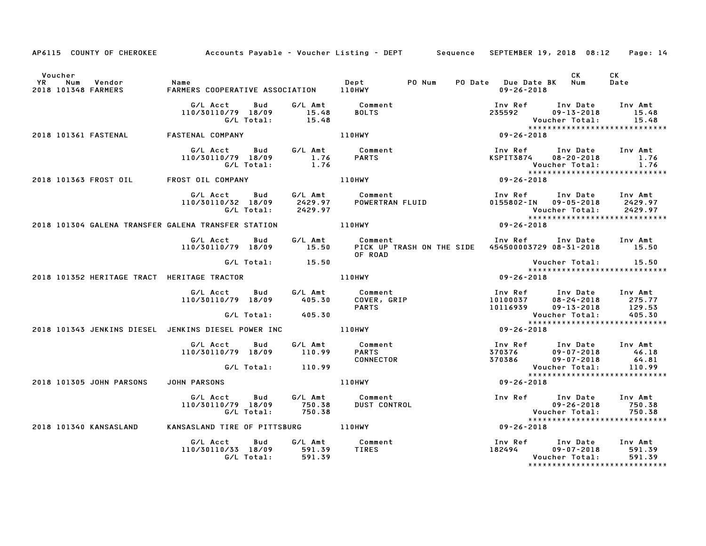| AP6115 COUNTY OF CHEROKEE Accounts Payable - Voucher Listing - DEPT Sequence SEPTEMBER 19, 2018 08:12 Page: 14 |                                                                |                  |                                                                                                                          |                                                                                 |                                                                                                              |                             |
|----------------------------------------------------------------------------------------------------------------|----------------------------------------------------------------|------------------|--------------------------------------------------------------------------------------------------------------------------|---------------------------------------------------------------------------------|--------------------------------------------------------------------------------------------------------------|-----------------------------|
| Voucher<br><b>YR</b><br>Num<br>Vendor<br>2018 101348 FARMERS                                                   | Name<br>F <sup>AP</sup>                                        |                  | PO Num                                                                                                                   | PO Date Due Date BK Num<br>$09 - 26 - 2018$                                     | <b>CK</b>                                                                                                    | CK<br>Date                  |
|                                                                                                                | G/L Acct Bud<br>110/30110/79 18/09 15.48<br>G/L Total: 15.48   |                  | G/L Amt Comment<br>15.48 BOLTS                                                                                           | 235592                                                                          | Inv Ref Inv Date Inv Amt<br>$09 - 13 - 2018$<br>Voucher Total:                                               | 15.48<br>15.48              |
| 2018 101361 FASTENAL FASTENAL COMPANY                                                                          |                                                                |                  | <b>110HWY</b>                                                                                                            | $09 - 26 - 2018$                                                                | *****************************                                                                                |                             |
|                                                                                                                | G/L Acct<br><b>Bud</b><br>110/30110/79 18/09<br>G/L Total:     | $1.76$<br>$1.76$ | G/L Amt Comment<br>1.76 PARTS                                                                                            | Inv Ref       Inv Date     Inv Amt<br>KSPIT3874     08–20–2018         1.76     | <b>Voucher Total:</b>                                                                                        | 1.76                        |
| 2018 101363 FROST OIL FROST OIL COMPANY                                                                        |                                                                | 110HWY           |                                                                                                                          | $09 - 26 - 2018$                                                                |                                                                                                              |                             |
|                                                                                                                | G/L Acct Bud<br>110/30110/32 18/09<br>G/L Total:               | 2429.97          | G/L Amt            Comment<br>2429.97        POWERTRAN<br>Comment<br>POWERTRAN FLUID                                     | Inv Ref      Inv Date    Inv Amt<br>0155802–IN    09–05–2018      2429.97       | Voucher Total:                                                                                               | 2429.97                     |
| 2018 101304 GALENA TRANSFER GALENA TRANSFER STATION THE RIDHWY                                                 |                                                                |                  |                                                                                                                          | $09 - 26 - 2018$                                                                |                                                                                                              |                             |
|                                                                                                                |                                                                |                  | G/L Acct Bud G/L Amt Comment 110/30110/79 18/09 15.50 PICK UP TRASH ON THE SIDE 454500003729 08-31-2018 15.50<br>OF ROAD |                                                                                 |                                                                                                              |                             |
|                                                                                                                | G/L Total:                                                     | 15.50            |                                                                                                                          |                                                                                 | *****************************                                                                                |                             |
| 2018 101352 HERITAGE TRACT HERITAGE TRACTOR                                                                    |                                                                |                  | 110HWY                                                                                                                   | 09-26-2018                                                                      |                                                                                                              |                             |
|                                                                                                                | G/L Acct<br><b>Bud</b><br>110/30110/79 18/09                   | 405.30           | G/L Amt Comment<br>COVER, GRIP<br><b>PARTS</b>                                                                           | 10100037 102018 1010018 10100037 1012-2018 275.77<br>10116939 09-13-2018 129.53 |                                                                                                              | 129.53<br>405.30            |
|                                                                                                                | G/L Total: 405.30                                              |                  |                                                                                                                          |                                                                                 | Voucher Total:                                                                                               |                             |
| 2018 101343 JENKINS DIESEL JENKINS DIESEL POWER INC _____________________________                              |                                                                |                  |                                                                                                                          | $09 - 26 - 2018$                                                                |                                                                                                              |                             |
|                                                                                                                | G/L Acct Bud<br>110/30110/79 18/09 110.99                      |                  | G/L Amt Comment<br>PARTS<br>CONNECTOR                                                                                    |                                                                                 |                                                                                                              |                             |
|                                                                                                                | G/L Total: 110.99                                              |                  |                                                                                                                          |                                                                                 | Voucher Total:<br>******************************                                                             | 110.99                      |
| 2018 101305 JOHN PARSONS                                                                                       | JOHN PARSONS                                                   |                  | 110HWY                                                                                                                   | $09 - 26 - 2018$                                                                |                                                                                                              |                             |
|                                                                                                                | G/L Acct   Bud<br>110/30110/79 18/09<br>G/L Total:             | 750.38<br>750.38 | G/L Amt Comment<br>750.38 DUST CONT<br><b>DUST CONTROL</b>                                                               |                                                                                 | Inv Ref       Inv Date<br>09-26-2018<br>$09 - 26 - 2018$<br>Voucher Total:<br>****************************** | Inv Amt<br>750.38<br>750.38 |
| 2018 101340 KANSASLAND                                                                                         | KANSASLAND TIRE OF PITTSBURG 110HWY                            |                  |                                                                                                                          | $09 - 26 - 2018$                                                                |                                                                                                              |                             |
|                                                                                                                | G/L Acct Bud<br>110/30110/33 18/09 591.39<br>G/L Total: 591.39 |                  | G/L Amt Comment<br>TIRES                                                                                                 | 182494                                                                          | Inv Ref Inv Date Inv Amt<br>$09 - 07 - 2018$<br>Voucher Total:<br>*****************************              | 591.39<br>591.39            |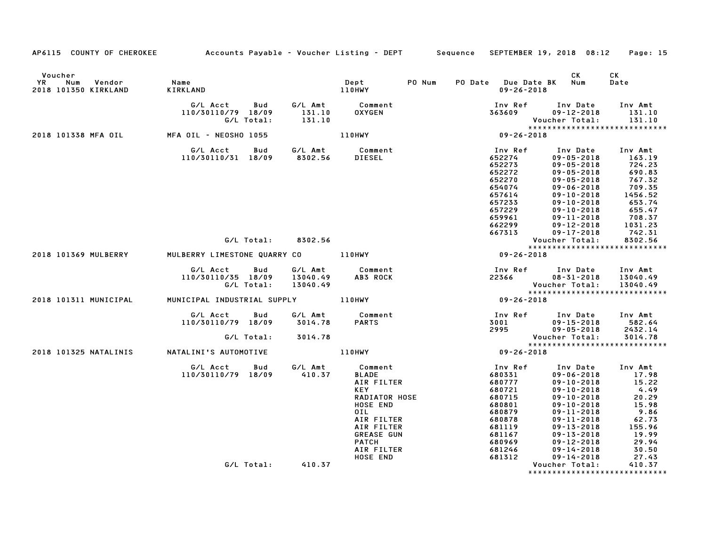| AP6115 COUNTY OF CHEROKEE Accounts Payable - Voucher Listing - DEPT Sequence |                                                                   |                      |                                                                                                                                                                                            |        | SEPTEMBER 19, 2018 08:12 Page: 15                                                                                               |                                                                                                                                                                                                                                                    |                                                                                                                    |
|------------------------------------------------------------------------------|-------------------------------------------------------------------|----------------------|--------------------------------------------------------------------------------------------------------------------------------------------------------------------------------------------|--------|---------------------------------------------------------------------------------------------------------------------------------|----------------------------------------------------------------------------------------------------------------------------------------------------------------------------------------------------------------------------------------------------|--------------------------------------------------------------------------------------------------------------------|
| Voucher<br><b>YR</b><br>Num<br>Vendor<br>2018 101350 KIRKLAND                | Name<br>KIRKLAND                                                  |                      | Dept<br>110HWY                                                                                                                                                                             | PO Num | PO Date Due Date BK Num<br>$09 - 26 - 2018$                                                                                     | CK                                                                                                                                                                                                                                                 | СK<br>Date                                                                                                         |
|                                                                              | G/L Acct<br>Bud<br>110/30110/79 18/09<br>G/L Total:               | 131.10<br>131.10     | G/L Amt Comment<br>131.10 OXYGEN                                                                                                                                                           |        | Inv Ref      Inv Date<br>363609                                                                                                 | $09 - 12 - 2018$<br>Voucher Total:                                                                                                                                                                                                                 | Inv Amt<br>131.10<br>131.10                                                                                        |
| 2018 101338 MFA OIL MFA OIL - NEOSHO 1055                                    |                                                                   |                      | 110HWY                                                                                                                                                                                     |        | ۷ου<br>:****<br>09-26-2018                                                                                                      |                                                                                                                                                                                                                                                    | *****************************                                                                                      |
|                                                                              | G/L Acct Bud G/L Amt Comment<br>110/30110/31 18/09 8302.56 DIESEL |                      |                                                                                                                                                                                            |        | Inv Ref<br>652274<br>652273<br>652272<br>652270<br>654074<br>657614<br>657233<br>657229<br>659961                               | Inv Date<br>$09 - 05 - 2018$<br>$09 - 05 - 2018$<br>$09 - 05 - 2018$<br>$09 - 05 - 2018$<br>$09 - 06 - 2018$<br>$09 - 10 - 2018$<br>$09 - 10 - 2018$<br>$09 - 10 - 2018$<br>$09 - 11 - 2018$                                                       | Inv Amt<br>163.19<br>724.23<br>690.83<br>767.32<br>709.35<br>1456.52<br>653.74<br>655.47<br>708.37                 |
|                                                                              | G/L Total: 8302.56                                                |                      |                                                                                                                                                                                            |        | 662299<br>667313                                                                                                                | $09 - 12 - 2018$<br>$09 - 17 - 2018$<br>Voucher Total:                                                                                                                                                                                             | 1031.23<br>742.31<br>8302.56                                                                                       |
|                                                                              |                                                                   |                      |                                                                                                                                                                                            |        |                                                                                                                                 |                                                                                                                                                                                                                                                    | *****************************                                                                                      |
| 2018 101369 MULBERRY                                                         | MULBERRY LIMESTONE QUARRY CO 110HWY                               |                      |                                                                                                                                                                                            |        | $09 - 26 - 2018$                                                                                                                |                                                                                                                                                                                                                                                    |                                                                                                                    |
|                                                                              | G/L Acct<br><b>Bud</b><br>110/30110/35 18/09<br>G/L Total:        | 13040.49<br>13040.49 | G/L Amt Comment<br>13040.49 AB3 ROCK<br>AB3 ROCK                                                                                                                                           |        | Inv Ref      Inv Date    Inv Amt<br>22366          08–31–2018     13040.49                                                      | Voucher Total: 13040.49                                                                                                                                                                                                                            | *****************************                                                                                      |
| 2018 101311 MUNICIPAL                                                        | MUNICIPAL INDUSTRIAL SUPPLY 110HWY                                |                      |                                                                                                                                                                                            |        | $09 - 26 - 2018$                                                                                                                |                                                                                                                                                                                                                                                    |                                                                                                                    |
|                                                                              | G/L Acct Bud<br>110/30110/79 18/09<br>G/L Total:                  | 3014.78<br>3014.78   | G/L Amt Comment<br><b>PARTS</b>                                                                                                                                                            |        | Inv Ref Inv Date Inv Amt<br>3001<br>09-05-2018 2995<br>:Voucher Total                                                           | -י-י--15-90<br>190-05-2018 09-05<br>:דר - ה-Total                                                                                                                                                                                                  | 582.64<br>2432.14<br>3014.78                                                                                       |
|                                                                              |                                                                   |                      |                                                                                                                                                                                            |        | Vou<br>* * * *<br>18 20 - 26 - 09                                                                                               |                                                                                                                                                                                                                                                    | *****************************                                                                                      |
| 2018 101325 NATALINIS NATALINI'S AUTOMOTIVE                                  |                                                                   |                      | 110HWY                                                                                                                                                                                     |        |                                                                                                                                 |                                                                                                                                                                                                                                                    |                                                                                                                    |
|                                                                              | G/L Acct<br><b>Bud</b><br>110/30110/79 18/09                      | 410.37               | G/L Amt Comment<br><b>BLADE</b><br>AIR FILTER<br>KEY<br>RADIATOR HOSE<br><b>HOSE END</b><br>OIL<br>AIR FILTER<br>AIR FILTER<br><b>GREASE GUN</b><br><b>PATCH</b><br>AIR FILTER<br>HOSE END |        | Inv Ref<br>680331<br>680777<br>680721<br>680715<br>680801<br>680879<br>680878<br>681119<br>681167<br>680969<br>681246<br>681312 | Inv Date<br>$09 - 06 - 2018$<br>$09 - 10 - 2018$<br>$09 - 10 - 2018$<br>$09 - 10 - 2018$<br>$09 - 10 - 2018$<br>$09 - 11 - 2018$<br>$09 - 11 - 2018$<br>$09 - 13 - 2018$<br>$09 - 13 - 2018$<br>$09 - 12 - 2018$<br>09-14-2018<br>$09 - 14 - 2018$ | Inv Amt<br>17.98<br>15.22<br>4.49<br>20.29<br>15.98<br>9.86<br>62.73<br>155.96<br>19.99<br>29.94<br>30.50<br>27.43 |
|                                                                              | G/L Total:                                                        | 410.37               |                                                                                                                                                                                            |        |                                                                                                                                 | Voucher Total:                                                                                                                                                                                                                                     | 410.37<br>*******************************                                                                          |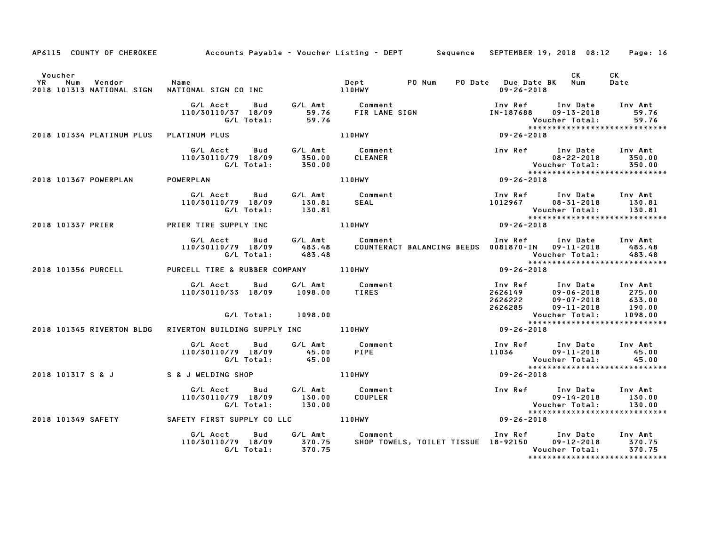|                                                                    |                                                                   |                  | AP6115 COUNTY OF CHEROKEE Accounts Payable – Voucher Listing – DEPT Sequence SEPTEMBER 19, 2018 08:12                                                                                                                   |                                                                              | Page: 16                                                                                                                    |
|--------------------------------------------------------------------|-------------------------------------------------------------------|------------------|-------------------------------------------------------------------------------------------------------------------------------------------------------------------------------------------------------------------------|------------------------------------------------------------------------------|-----------------------------------------------------------------------------------------------------------------------------|
| Voucher<br><b>YR</b><br>Num<br>Vendor<br>2018 101313 NATIONAL SIGN | Name                                                              |                  |                                                                                                                                                                                                                         | PO Date Due Date BK Num<br>$09 - 26 - 2018$                                  | CK<br>CK<br>Date                                                                                                            |
|                                                                    | 110/30110/37 18/09                                                |                  |                                                                                                                                                                                                                         | IN-187688                                                                    | Inv Ref Inv Date Inv Amt<br>09-13-2018<br>59.76<br>Voucher Total:<br>59.76                                                  |
| 2018 101334 PLATINUM PLUS PLATINUM PLUS                            |                                                                   |                  | 110HWY                                                                                                                                                                                                                  | $09 - 26 - 2018$                                                             | ******************************                                                                                              |
|                                                                    | G/L Acct Bud<br>110/30110/79 18/09                                |                  | G/L Amt Comment<br><b>CLEANER</b>                                                                                                                                                                                       | 1nv Ref 1nv Date Ir<br>08-22-2018<br>Voucher Total:<br>********************* | Inv Ref Inv Date Inv Amt<br>$08 - 22 - 2018$ 350.00<br>350.00                                                               |
| 2018 101367 POWERPLAN POWERPLAN                                    |                                                                   |                  | 110HWY                                                                                                                                                                                                                  |                                                                              | ******************************                                                                                              |
|                                                                    | G/L Acct Bud<br>110/30110/79 18/09<br>G/L Total:                  | 130.81<br>130.81 | G/L Amt Comment<br>SEAL                                                                                                                                                                                                 |                                                                              | Inv Ref Inv Date Inv Amt<br>1012967 08-31-2018 130.81<br>130.81                                                             |
| 2018 101337 PRIER PRIER TIRE SUPPLY INC 110HWY                     |                                                                   |                  |                                                                                                                                                                                                                         |                                                                              | Voucher Total: 130.81<br>******************************<br>09-26-2018                                                       |
|                                                                    |                                                                   |                  | G/L Acct Bud G/L Amt Comment Inv Ref Inv Date Inv Amt<br>110/30110/79 18/09 483.48 COUNTERACT BALANCING BEEDS 0081870–IN 09–11–2018 483.48<br>6/L Total: 483.48 COUNTERACT BALANCING BEEDS 0081870–IN 09–11–2018 483.48 |                                                                              |                                                                                                                             |
| 2018 101356 PURCELL PURCELL TIRE & RUBBER COMPANY 110HWY           |                                                                   |                  |                                                                                                                                                                                                                         | $09 - 26 - 2018$                                                             |                                                                                                                             |
|                                                                    | G/L Acct Bud<br>110/30110/33 18/09 1098.00<br>G/L Total:          | 1098.00          | G/L Amt Comment<br><b>TIRES</b>                                                                                                                                                                                         | 2626285 09-11-2018<br>Voucher Total:<br>******************                   | Inv Ref Inv Date Inv Amt<br>اس المساحد وسطح 1110 1114 112626149<br>2626222 109-07-2018 633.00<br>2626285 109-11-2018 190.00 |
| 2018 101345 RIVERTON BLDG                                          | RIVERTON BUILDING SUPPLY INC 110HWY                               |                  |                                                                                                                                                                                                                         |                                                                              |                                                                                                                             |
|                                                                    | G/L Acct Bud<br>110/30110/79 18/09 45.00<br>G/L Total: 45.00      |                  | G/L Amt Comment<br>PIPE                                                                                                                                                                                                 |                                                                              | Inv Ref Inv Date Inv Amt                                                                                                    |
| 2018 101317 S & J S & J WELDING SHOP                               |                                                                   | <b>110HWY</b>    |                                                                                                                                                                                                                         | $09 - 26 - 2018$                                                             |                                                                                                                             |
|                                                                    | G/L Acct Bud<br>110/30110/79 18/09<br>G/L Total:                  | 130.00<br>130.00 | G/L Amt Comment<br>130.00 COUPLER                                                                                                                                                                                       | Inv Ref Inv Date<br>09-14-2018<br>Voucher Total:<br>***************          | Inv Ref Inv Date Inv Amt<br>130.00<br>130.00<br>*****************************                                               |
| 2018 101349 SAFETY                                                 | SAFETY FIRST SUPPLY CO LLC <b>110HWY</b>                          |                  |                                                                                                                                                                                                                         | $09 - 26 - 2018$                                                             |                                                                                                                             |
|                                                                    | G/L Acct<br>Bud<br>110/30110/79 18/09 370.75<br>G/L Total: 370.75 |                  |                                                                                                                                                                                                                         |                                                                              | Voucher Total:<br>370.75<br>*****************************                                                                   |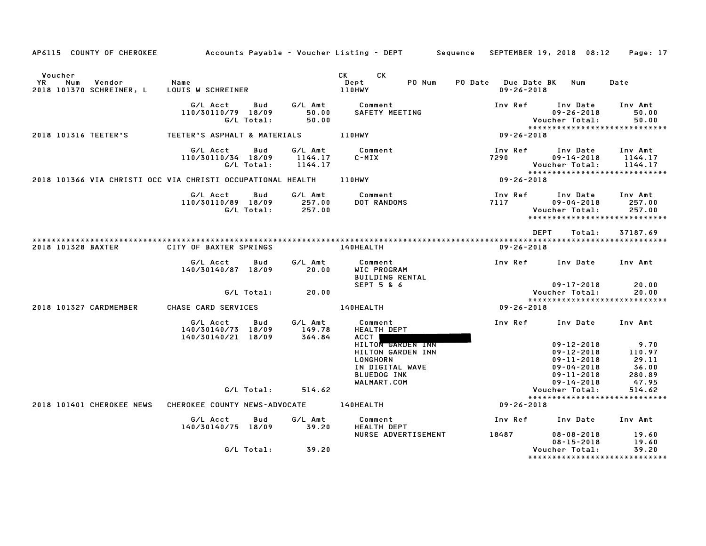| AP6115 COUNTY OF CHEROKEE                                   |                                                      |                   |                               | Accounts Payable – Voucher Listing – DEPT         Sequence                                                        |                                                   | SEPTEMBER 19, 2018 08:12                                                                                             | Page: 17                                            |
|-------------------------------------------------------------|------------------------------------------------------|-------------------|-------------------------------|-------------------------------------------------------------------------------------------------------------------|---------------------------------------------------|----------------------------------------------------------------------------------------------------------------------|-----------------------------------------------------|
| Voucher<br>YR<br>Num<br>Vendor<br>2018 101370 SCHREINER, L  | Name<br>LOUIS W SCHREINER                            |                   |                               | CK<br>CK<br>Dept<br>PO Num<br>110HWY                                                                              | PO Date<br><b>Due Date BK</b><br>$09 - 26 - 2018$ | Num                                                                                                                  | Date                                                |
|                                                             | G/L Acct<br>110/30110/79 18/09                       | Bud<br>G/L Total: | G/L Amt<br>50.00<br>50.00     | Comment<br>SAFETY MEETING                                                                                         | Inv Ref                                           | Inv Date<br>$09 - 26 - 2018$<br>Voucher Total:<br>*****************************                                      | Inv Amt<br>50.00<br>50.00                           |
| 2018 101316 TEETER'S                                        | TEETER'S ASPHALT & MATERIALS                         |                   |                               | 110HWY                                                                                                            | $09 - 26 - 2018$                                  |                                                                                                                      |                                                     |
|                                                             | G/L Acct<br>110/30110/34 18/09                       | Bud<br>G/L Total: | G/L Amt<br>1144.17<br>1144.17 | Comment<br>$C-MIX$                                                                                                | Inv Ref<br>7290                                   | Inv Date<br>$09 - 14 - 2018$<br>Voucher Total:<br>*****************************                                      | Inv Amt<br>1144.17<br>1144.17                       |
| 2018 101366 VIA CHRISTI OCC VIA CHRISTI OCCUPATIONAL HEALTH |                                                      |                   |                               | <b>110HWY</b>                                                                                                     | $09 - 26 - 2018$                                  |                                                                                                                      |                                                     |
|                                                             | G/L Acct<br>110/30110/89 18/09                       | Bud<br>G/L Total: | G/L Amt<br>257.00<br>257.00   | Comment<br>DOT RANDOMS                                                                                            | Inv Ref<br>7117                                   | Inv Date<br>$09 - 04 - 2018$<br>Voucher Total:<br>******************************                                     | Inv Amt<br>257.00<br>257.00                         |
|                                                             |                                                      |                   |                               |                                                                                                                   |                                                   | DEPT<br>Total:                                                                                                       | 37187.69                                            |
| 2018 101328 BAXTER                                          | CITY OF BAXTER SPRINGS                               |                   |                               | 140HEALTH                                                                                                         | $09 - 26 - 2018$                                  |                                                                                                                      |                                                     |
|                                                             | G/L Acct<br>140/30140/87 18/09                       | Bud               | G/L Amt<br>20.00              | Comment<br>WIC PROGRAM<br><b>BUILDING RENTAL</b><br>SEPT 5 & 6                                                    | Inv Ref                                           | Inv Date                                                                                                             | Inv Amt                                             |
|                                                             |                                                      | G/L Total:        | 20.00                         |                                                                                                                   |                                                   | $09 - 17 - 2018$<br>Voucher Total:                                                                                   | 20.00<br>20.00                                      |
| 2018 101327 CARDMEMBER                                      | CHASE CARD SERVICES                                  |                   |                               | 140HEALTH                                                                                                         | $09 - 26 - 2018$                                  | *****************************                                                                                        |                                                     |
|                                                             | G/L Acct<br>140/30140/73 18/09<br>140/30140/21 18/09 | Bud               | G/L Amt<br>149.78<br>364.84   | Comment<br><b>HEALTH DEPT</b><br><b>ACCT</b>                                                                      | Inv Ref                                           | Inv Date                                                                                                             | Inv Amt                                             |
|                                                             |                                                      |                   |                               | <b>HILTON GARDEN INN</b><br>HILTON GARDEN INN<br>LONGHORN<br>IN DIGITAL WAVE<br><b>BLUEDOG INK</b><br>WALMART.COM |                                                   | $09 - 12 - 2018$<br>$09 - 12 - 2018$<br>$09 - 11 - 2018$<br>$09 - 04 - 2018$<br>$09 - 11 - 2018$<br>$09 - 14 - 2018$ | 9.70<br>110.97<br>29.11<br>36.00<br>280.89<br>47.95 |
|                                                             |                                                      | G/L Total:        | 514.62                        |                                                                                                                   |                                                   | Voucher Total:                                                                                                       | 514.62                                              |
| 2018 101401 CHEROKEE NEWS                                   | CHEROKEE COUNTY NEWS-ADVOCATE                        |                   |                               | 140HEALTH                                                                                                         | $09 - 26 - 2018$                                  | *****************************                                                                                        |                                                     |
|                                                             | G/L Acct<br>140/30140/75 18/09                       | Bud               | G/L Amt<br>39.20              | Comment<br><b>HEALTH DEPT</b>                                                                                     | Inv Ref                                           | Inv Date                                                                                                             | Inv Amt                                             |
|                                                             |                                                      |                   |                               | NURSE ADVERTISEMENT                                                                                               | 18487                                             | $08 - 08 - 2018$<br>$08 - 15 - 2018$                                                                                 | 19.60<br>19.60                                      |
|                                                             |                                                      | G/L Total:        | 39.20                         |                                                                                                                   |                                                   | Voucher Total:<br>*****************                                                                                  | 39.20<br>************                               |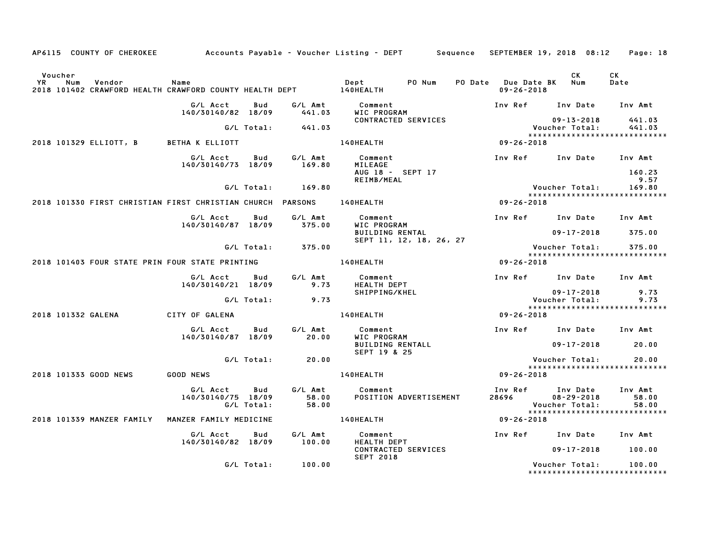|                                                            |                                |                   |                           | AP6115 COUNTY OF CHEROKEE Accounts Payable - Voucher Listing - DEPT Sequence |                                             | SEPTEMBER 19, 2018 08:12                               | Page: 18                  |
|------------------------------------------------------------|--------------------------------|-------------------|---------------------------|------------------------------------------------------------------------------|---------------------------------------------|--------------------------------------------------------|---------------------------|
| Voucher                                                    |                                |                   |                           | PO Num                                                                       | PO Date Due Date BK Num<br>$09 - 26 - 2018$ | CK                                                     | СK<br>Date                |
|                                                            | G/L Acct<br>140/30140/82 18/09 | Bud               | G/L Amt<br>441.03         | Comment<br>WIC PROGRAM                                                       |                                             | Inv Ref Inv Date                                       | Inv Amt                   |
|                                                            |                                | G/L Total:        | 441.03                    | CONTRACTED SERVICES                                                          |                                             | 09-13-2018<br>Voucher Total:                           | 441.03<br>441.03          |
| 2018 101329 ELLIOTT, B BETHA K ELLIOTT                     |                                |                   |                           | 140HEALTH                                                                    | $09 - 26 - 2018$                            | *****************************                          |                           |
|                                                            | G/L Acct<br>140/30140/73 18/09 | Bud               | G/L Amt<br>169.80         | Comment<br>MILEAGE<br>AUG 18 - SEPT 17                                       |                                             | Inv Ref Inv Date Inv Amt                               | 160.23                    |
|                                                            |                                | G/L Total:        | 169.80                    | REIMB/MEAL                                                                   |                                             | Voucher Total:<br>*****************************        | 9.57<br>169.80            |
| 2018 101330 FIRST CHRISTIAN FIRST CHRISTIAN CHURCH PARSONS |                                |                   |                           | 140HEALTH                                                                    | $09 - 26 - 2018$                            |                                                        |                           |
|                                                            | G/L Acct<br>140/30140/87 18/09 | Bud               | G/L Amt<br>375.00         | Comment<br>WIC PROGRAM                                                       |                                             | Inv Ref Inv Date Inv Amt                               |                           |
|                                                            |                                |                   |                           | <b>BUILDING RENTAL</b><br>SEPT 11, 12, 18, 26, 27                            |                                             | $09 - 17 - 2018$                                       | 375.00                    |
| 2018 101403 FOUR STATE PRIN FOUR STATE PRINTING            |                                | G/L Total:        | 375.00                    | 140HEALTH                                                                    | 09-26-2018                                  | Voucher Total:<br>*****************************        | 375.00                    |
|                                                            |                                |                   |                           |                                                                              |                                             |                                                        |                           |
|                                                            | G/L Acct<br>140/30140/21 18/09 | Bud               | G/L Amt<br>9.73           | Comment<br><b>HEALTH DEPT</b>                                                |                                             | Inv Ref Inv Date Inv Amt                               |                           |
|                                                            |                                | G/L Total:        | 9.73                      | SHIPPING/KHEL                                                                |                                             | $09 - 17 - 2018$<br>Voucher Total:                     | 9.73<br>9.73              |
|                                                            |                                |                   |                           |                                                                              |                                             | *****************************                          |                           |
| 2018 101332 GALENA                                         | CITY OF GALENA                 |                   |                           | 140HEALTH                                                                    | 09-26-2018                                  |                                                        |                           |
|                                                            | G/L Acct<br>140/30140/87 18/09 | Bud               | G/L Amt<br>20.00          | Comment<br>WIC PROGRAM                                                       |                                             | Inv Ref Inv Date Inv Amt                               |                           |
|                                                            |                                |                   |                           | <b>BUILDING RENTALL</b><br>SEPT 19 & 25                                      |                                             | $09 - 17 - 2018$                                       | 20.00                     |
|                                                            |                                | G/L Total:        | 20.00                     |                                                                              |                                             | Voucher Total:<br>******************************       | 20.00                     |
| 2018 101333 GOOD NEWS                                      | <b>GOOD NEWS</b>               |                   |                           | 140HEALTH                                                                    | $09 - 26 - 2018$                            |                                                        |                           |
|                                                            | G/L Acct<br>140/30140/75 18/09 | Bud<br>G/L Total: | G/L Amt<br>58.00<br>58.00 | Comment<br>POSITION ADVERTISEMENT                                            | 28696                                       | Inv Ref Inv Date<br>$08 - 29 - 2018$<br>Voucher Total: | Inv Amt<br>58.00<br>58.00 |
| 2018 101339 MANZER FAMILY                                  | MANZER FAMILY MEDICINE         |                   |                           | 140HEALTH                                                                    | 09-26-2018                                  | *****************************                          |                           |
|                                                            | G/L Acct<br>140/30140/82 18/09 | Bud               | G/L Amt<br>100.00         | Comment<br><b>HEALTH DEPT</b>                                                |                                             | Inv Ref Inv Date Inv Amt                               |                           |
|                                                            |                                |                   |                           | CONTRACTED SERVICES<br><b>SEPT 2018</b>                                      |                                             | $09 - 17 - 2018$                                       | 100.00                    |
|                                                            |                                | G/L Total:        | 100.00                    |                                                                              |                                             | Voucher Total:<br>******************************       | 100.00                    |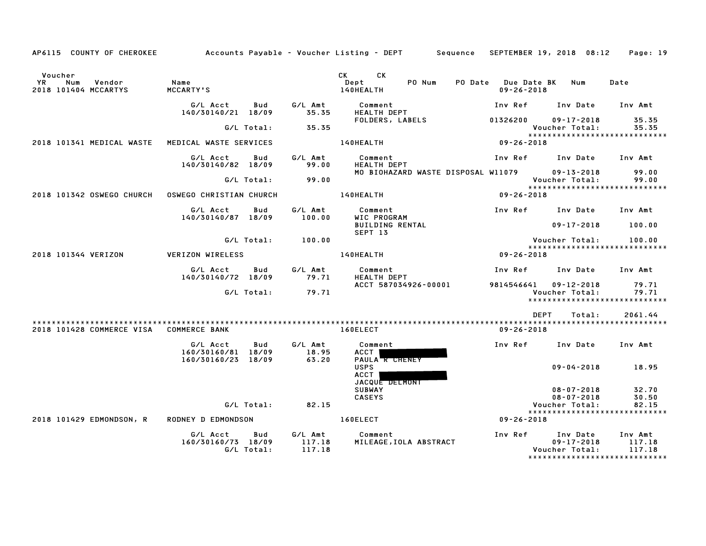| AP6115 COUNTY OF CHEROKEE                              |                                                      |                                    | Accounts Payable – Voucher Listing – DEPT         Sequence   SEPTEMBER 19, 2018  08:12     Page: 19                                                                                                                                                                 |                                         |                                                |                                                 |
|--------------------------------------------------------|------------------------------------------------------|------------------------------------|---------------------------------------------------------------------------------------------------------------------------------------------------------------------------------------------------------------------------------------------------------------------|-----------------------------------------|------------------------------------------------|-------------------------------------------------|
| Voucher<br>YR<br>Num<br>Vendor<br>2018 101404 MCCARTYS | Name<br>MCCARTY'S                                    |                                    | CK and the set of the set of the set of the set of the set of the set of the set of the set of the set of the set of the set of the set of the set of the set of the set of the set of the set of the set of the set of the se<br>CK<br>PO Num<br>Dept<br>140HEALTH | PO Date Due Date BK<br>$09 - 26 - 2018$ | Num                                            | Date                                            |
|                                                        | G/L Acct<br>140/30140/21 18/09                       | G/L Amt<br>Bud<br>35.35            | Comment<br>HEALTH DEPT                                                                                                                                                                                                                                              | Inv Ref                                 | Inv Date                                       | Inv Amt                                         |
|                                                        | G/L Total:                                           | 35.35                              | FOLDERS, LABELS                                                                                                                                                                                                                                                     | 01326200                                | $09 - 17 - 2018$<br>Voucher Total:             | 35.35<br>35.35                                  |
| 2018 101341 MEDICAL WASTE                              | MEDICAL WASTE SERVICES                               |                                    | 140HEALTH                                                                                                                                                                                                                                                           | $09 - 26 - 2018$                        |                                                | *****************************                   |
|                                                        | G/L Acct<br>140/30140/82 18/09                       | G/L Amt<br>Bud<br>99.00            | Comment<br>HEALTH DEPT                                                                                                                                                                                                                                              | Inv Ref                                 | Inv Date Inv Amt                               |                                                 |
|                                                        | G/L Total:                                           | 99.00                              | MO BIOHAZARD WASTE DISPOSAL W11079                                                                                                                                                                                                                                  |                                         | 09-13-2018<br>Voucher Total:                   | 99.00<br>99.00<br>***************************** |
| 2018 101342 OSWEGO CHURCH                              | <b>OSWEGO CHRISTIAN CHURCH</b>                       |                                    | 140HEALTH                                                                                                                                                                                                                                                           | $09 - 26 - 2018$                        |                                                |                                                 |
|                                                        | G/L Acct<br>140/30140/87 18/09                       | Bud<br>G/L Amt<br>100.00           | Comment<br>WIC PROGRAM                                                                                                                                                                                                                                              | Inv Ref Inv Date                        |                                                | Inv Amt                                         |
|                                                        |                                                      |                                    | <b>BUILDING RENTAL</b><br>SEPT 13                                                                                                                                                                                                                                   |                                         | $09 - 17 - 2018$                               | 100.00                                          |
|                                                        | G/L Total:                                           | 100.00                             |                                                                                                                                                                                                                                                                     |                                         | Voucher Total:                                 | 100.00<br>******************************        |
| 2018 101344 VERIZON                                    | VERIZON WIRELESS                                     |                                    | <b>140HEALTH</b>                                                                                                                                                                                                                                                    | 09-26-2018                              |                                                |                                                 |
|                                                        | G/L Acct<br>140/30140/72 18/09                       | Bud<br>G/L Amt<br>79.71            | Comment<br><b>HEALTH DEPT</b>                                                                                                                                                                                                                                       | Inv Ref                                 | Inv Date                                       | Inv Amt                                         |
|                                                        | G/L Total:                                           | 79.71                              | ACCT 587034926-00001                                                                                                                                                                                                                                                | 9814546641                              | $09 - 12 - 2018$<br>Voucher Total:             | 79.71<br>79.71<br>***************************** |
|                                                        |                                                      |                                    |                                                                                                                                                                                                                                                                     | <b>DEPT</b>                             | Total:                                         | 2061.44                                         |
| 2018 101428 COMMERCE VISA COMMERCE BANK                |                                                      |                                    | 160ELECT                                                                                                                                                                                                                                                            | $09 - 26 - 2018$                        |                                                |                                                 |
|                                                        | G/L Acct<br>160/30160/81 18/09<br>160/30160/23 18/09 | Bud<br>G/L Amt<br>18.95<br>63.20   | Comment<br>ACCT<br>PAULA R CHENEY                                                                                                                                                                                                                                   | Inv Ref                                 | Inv Date                                       | Inv Amt                                         |
|                                                        |                                                      |                                    | <b>USPS</b><br>ACCT<br>JACQUE DELMONT                                                                                                                                                                                                                               |                                         | $09 - 04 - 2018$                               | 18.95                                           |
|                                                        |                                                      |                                    | <b>SUBWAY</b><br><b>CASEYS</b>                                                                                                                                                                                                                                      |                                         | $08 - 07 - 2018$<br>$08 - 07 - 2018$           | 32.70<br>30.50                                  |
|                                                        | G/L Total:                                           | 82.15                              |                                                                                                                                                                                                                                                                     |                                         | Voucher Total:                                 | 82.15                                           |
| 2018 101429 EDMONDSON, R                               | RODNEY D EDMONDSON                                   |                                    | 160ELECT                                                                                                                                                                                                                                                            | $09 - 26 - 2018$                        |                                                | *****************************                   |
|                                                        | G/L Acct<br>160/30160/73 18/09<br>G/L Total:         | Bud<br>G/L Amt<br>117.18<br>117.18 | Comment<br>MILEAGE, IOLA ABSTRACT                                                                                                                                                                                                                                   | Inv Ref                                 | Inv Date<br>$09 - 17 - 2018$<br>Voucher Total: | Inv Amt<br>117.18<br>117.18                     |

\*\*\*\*\*\*\*\*\*\*\*\*\*\*\*\*\*\*\*\*\*\*\*\*\*\*\*\*\*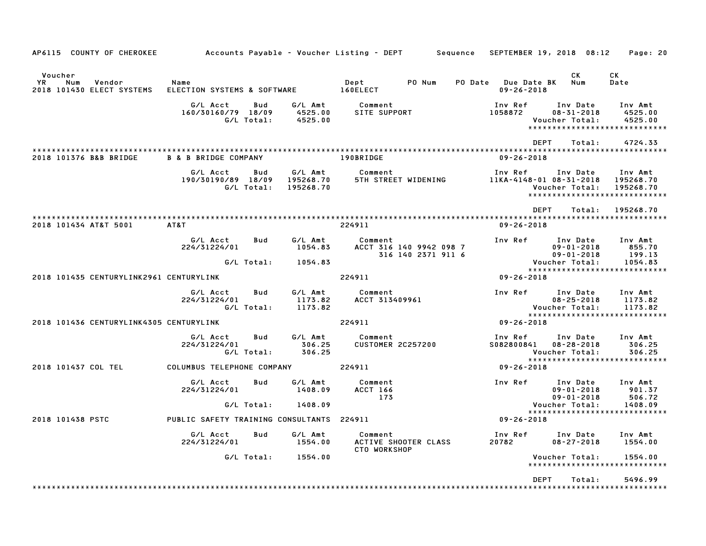| AP6115 COUNTY OF CHEROKEE                                   |                                                     |                                   | Accounts Payable – Voucher Listing – DEPT         Sequence | SEPTEMBER 19, 2018 08:12                |                                                              | Page: 20                                                           |
|-------------------------------------------------------------|-----------------------------------------------------|-----------------------------------|------------------------------------------------------------|-----------------------------------------|--------------------------------------------------------------|--------------------------------------------------------------------|
| Voucher<br>YR<br>Num<br>Vendor<br>2018 101430 ELECT SYSTEMS | Name<br>ELECTION SYSTEMS & SOFTWARE                 |                                   | PO Num<br>Dept<br>160ELECT                                 | PO Date Due Date BK<br>$09 - 26 - 2018$ | CK<br>Num                                                    | СK<br>Date                                                         |
|                                                             | G/L Acct<br>Bud<br>160/30160/79 18/09<br>G/L Total: | G/L Amt<br>4525.00<br>4525.00     | Comment<br>SITE SUPPORT                                    | Inv Ref<br>1058872                      | Inv Date<br>$08 - 31 - 2018$<br>Voucher Total:               | Inv Amt<br>4525.00<br>4525.00<br>*****************************     |
| 2018 101376 B&B BRIDGE                                      | <b>B &amp; B BRIDGE COMPANY</b>                     |                                   | 190BRIDGE                                                  | <b>DEPT</b><br>$09 - 26 - 2018$         | Total:                                                       | 4724.33                                                            |
|                                                             | G/L Acct<br>Bud<br>190/30190/89 18/09<br>G/L Total: | G/L Amt<br>195268.70<br>195268.70 | Comment<br>5TH STREET WIDENING                             | Inv Ref<br>11KA-4148-01 08-31-2018      | Inv Date<br>Voucher Total:                                   | Inv Amt<br>195268.70<br>195268.70<br>***************************** |
| 2018 101434 AT&T 5001                                       | AT&T                                                |                                   | 224911                                                     | DEPT<br>$09 - 26 - 2018$                | Total:                                                       | 195268.70                                                          |
|                                                             | G/L Acct<br>Bud<br>224/31224/01<br>G/L Total:       | G/L Amt<br>1054.83<br>1054.83     | Comment<br>ACCT 316 140 9942 098 7<br>316 140 2371 911 6   | Inv Ref                                 | Inv Date<br>$09 - 01 - 2018$<br>09-01-2018<br>Voucher Total: | Inv Amt<br>855.70<br>199.13<br>1054.83                             |
| 2018 101435 CENTURYLINK2961 CENTURYLINK                     |                                                     |                                   | 224911                                                     | 09-26-2018                              |                                                              | *****************************                                      |
|                                                             | G/L Acct<br>Bud<br>224/31224/01<br>G/L Total:       | G/L Amt<br>1173.82<br>1173.82     | Comment<br>ACCT 313409961                                  | Inv Ref                                 | Inv Date<br>$08 - 25 - 2018$<br>Voucher Total:               | Inv Amt<br>1173.82<br>1173.82<br>*****************************     |
| 2018 101436 CENTURYLINK4305 CENTURYLINK                     |                                                     |                                   | 224911                                                     | 09-26-2018                              |                                                              |                                                                    |
|                                                             | G/L Acct<br>Bud<br>224/31224/01<br>G/L Total:       | G/L Amt<br>306.25<br>306.25       | Comment<br><b>CUSTOMER 2C257200</b>                        | Inv Ref<br>\$082800841 08-28-2018       | Inv Date<br>Voucher Total:                                   | Inv Amt<br>306.25<br>306.25<br>*****************************       |
| 2018 101437 COL TEL                                         | COLUMBUS TELEPHONE COMPANY                          |                                   | 224911                                                     | 09-26-2018                              |                                                              |                                                                    |
|                                                             | G/L Acct<br>Bud<br>224/31224/01                     | G/L Amt<br>1408.09                | Comment<br><b>ACCT 166</b><br>173                          | Inv Ref                                 | Inv Date<br>$09 - 01 - 2018$<br>$09 - 01 - 2018$             | Inv Amt<br>901.37<br>506.72                                        |
|                                                             | G/L Total:                                          | 1408.09                           |                                                            |                                         | Voucher Total:                                               | 1408.09<br>*****************************                           |
| 2018 101438 PSTC                                            | PUBLIC SAFETY TRAINING CONSULTANTS 224911           |                                   |                                                            | 09-26-2018                              |                                                              |                                                                    |
|                                                             | G/L Acct<br>Bud<br>224/31224/01                     | G/L Amt<br>1554.00                | Comment<br>ACTIVE SHOOTER CLASS<br>CTO WORKSHOP            | Inv Ref Inv Date<br>20782               | $08 - 27 - 2018$                                             | Inv Amt<br>1554.00                                                 |
|                                                             | G/L Total:                                          | 1554.00                           |                                                            |                                         | Voucher Total:                                               | 1554.00<br>*****************************                           |
|                                                             |                                                     |                                   |                                                            | DEPT                                    | Total:                                                       | 5496.99                                                            |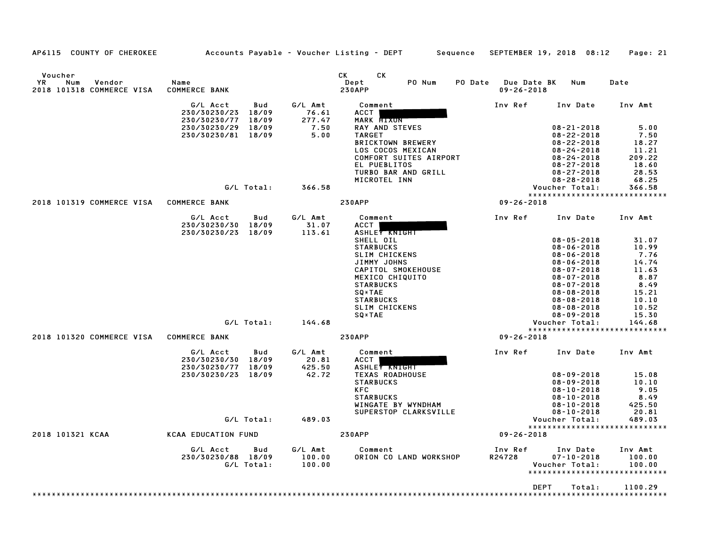| Voucher<br>YR<br>Num<br>Vendor<br>2018 101318 COMMERCE VISA | Name<br><b>COMMERCE BANK</b>                                      |                            | СK<br>CK<br>Dept<br>PO Num<br>PO Date<br><b>230APP</b> | Due Date BK<br>$09 - 26 - 2018$ | Num                                  | Date            |
|-------------------------------------------------------------|-------------------------------------------------------------------|----------------------------|--------------------------------------------------------|---------------------------------|--------------------------------------|-----------------|
|                                                             | G/L Acct<br>Bud<br>18/09<br>230/30230/23                          | G/L Amt<br>76.61<br>277.47 | Comment<br><b>ACCT</b>                                 | Inv Ref                         | Inv Date                             | Inv Amt         |
|                                                             | 230/30230/77<br>18/09<br>18/09<br>230/30230/29                    | 7.50                       | <b>MARK HIXON</b><br><b>RAY AND STEVES</b>             |                                 | $08 - 21 - 2018$                     | 5.00            |
|                                                             | 230/30230/81<br>18/09                                             | 5.00                       | <b>TARGET</b>                                          |                                 | $08 - 22 - 2018$                     | 7.50            |
|                                                             |                                                                   |                            | <b>BRICKTOWN BREWERY</b>                               |                                 | $08 - 22 - 2018$                     | 18.27           |
|                                                             |                                                                   |                            | LOS COCOS MEXICAN                                      |                                 | $08 - 24 - 2018$                     | 11.21           |
|                                                             |                                                                   |                            | COMFORT SUITES AIRPORT                                 |                                 | $08 - 24 - 2018$                     | 209.22          |
|                                                             |                                                                   |                            | EL PUEBLITOS                                           |                                 | $08 - 27 - 2018$                     | 18.60           |
|                                                             |                                                                   |                            | TURBO BAR AND GRILL                                    |                                 | $08 - 27 - 2018$                     | 28.53           |
|                                                             |                                                                   |                            | MICROTEL INN                                           |                                 | $08 - 28 - 2018$                     | 68.25           |
|                                                             | G/L Total:                                                        | 366.58                     |                                                        |                                 | Voucher Total:                       | 366.58          |
| 2018 101319 COMMERCE VISA                                   | <b>COMMERCE BANK</b>                                              |                            | <b>230APP</b>                                          | $09 - 26 - 2018$                | *****************************        |                 |
|                                                             |                                                                   |                            |                                                        |                                 |                                      |                 |
|                                                             | G/L Acct<br>Bud<br>230/30230/30<br>18/09<br>230/30230/23<br>18/09 | G/L Amt<br>31.07<br>113.61 | Comment<br>ACCT<br>ASHLEY KNIGHT                       | Inv Ref                         | Inv Date                             | Inv Amt         |
|                                                             |                                                                   |                            | SHELL OIL                                              |                                 | $08 - 05 - 2018$                     | 31.07           |
|                                                             |                                                                   |                            | <b>STARBUCKS</b>                                       |                                 | $08 - 06 - 2018$                     | 10.99           |
|                                                             |                                                                   |                            | <b>SLIM CHICKENS</b>                                   |                                 | $08 - 06 - 2018$                     | 7.76            |
|                                                             |                                                                   |                            | JIMMY JOHNS                                            |                                 | $08 - 06 - 2018$                     | 14.74           |
|                                                             |                                                                   |                            | CAPITOL SMOKEHOUSE                                     |                                 | $08 - 07 - 2018$                     | 11.63           |
|                                                             |                                                                   |                            | MEXICO CHIQUITO                                        |                                 | $08 - 07 - 2018$                     | 8.87            |
|                                                             |                                                                   |                            | <b>STARBUCKS</b>                                       |                                 | $08 - 07 - 2018$                     | 8.49            |
|                                                             |                                                                   |                            | SQ*TAE                                                 |                                 | $08 - 08 - 2018$                     | 15.21           |
|                                                             |                                                                   |                            | <b>STARBUCKS</b>                                       |                                 | $08 - 08 - 2018$                     | 10.10           |
|                                                             |                                                                   |                            | <b>SLIM CHICKENS</b>                                   |                                 | $08 - 08 - 2018$                     | 10.52           |
|                                                             | G/L Total:                                                        | 144.68                     | SQ*TAE                                                 |                                 | $08 - 09 - 2018$<br>Voucher Total:   | 15.30<br>144.68 |
|                                                             |                                                                   |                            |                                                        |                                 | *****************************        |                 |
| 2018 101320 COMMERCE VISA                                   | <b>COMMERCE BANK</b>                                              |                            | <b>230APP</b>                                          | $09 - 26 - 2018$                |                                      |                 |
|                                                             | G/L Acct<br>Bud                                                   | G/L Amt                    | Comment                                                | Inv Ref                         | Inv Date                             | Inv Amt         |
|                                                             | 230/30230/30<br>18/09                                             | 20.81                      | <b>ACCT</b>                                            |                                 |                                      |                 |
|                                                             | 230/30230/77<br>18/09                                             | 425.50                     | ASHLEY KNIGHT                                          |                                 |                                      |                 |
|                                                             | 230/30230/23<br>18/09                                             | 42.72                      | <b>TEXAS ROADHOUSE</b>                                 |                                 | $08 - 09 - 2018$                     | 15.08           |
|                                                             |                                                                   |                            | <b>STARBUCKS</b><br><b>KFC</b>                         |                                 | $08 - 09 - 2018$<br>$08 - 10 - 2018$ | 10.10<br>9.05   |
|                                                             |                                                                   |                            | <b>STARBUCKS</b>                                       |                                 | $08 - 10 - 2018$                     | 8.49            |
|                                                             |                                                                   |                            | WINGATE BY WYNDHAM                                     |                                 | $08 - 10 - 2018$                     | 425.50          |
|                                                             |                                                                   |                            | SUPERSTOP CLARKSVILLE                                  |                                 | $08 - 10 - 2018$                     | 20.81           |
|                                                             | G/L Total:                                                        | 489.03                     |                                                        |                                 | Voucher Total:                       | 489.03          |
|                                                             |                                                                   |                            |                                                        |                                 | *****************************        |                 |
| 2018 101321 KCAA                                            | <b>KCAA EDUCATION FUND</b>                                        |                            | <b>230APP</b>                                          | $09 - 26 - 2018$                |                                      |                 |
|                                                             | G/L Acct<br>Bud                                                   | G/L Amt                    | Comment                                                | Inv Ref                         | Inv Date                             | Inv Amt         |
|                                                             | 230/30230/88 18/09                                                | 100.00                     | ORION CO LAND WORKSHOP                                 | R24728                          | $07 - 10 - 2018$                     | 100.00          |
|                                                             | G/L Total:                                                        | 100.00                     |                                                        |                                 | Voucher Total:                       | 100.00          |
|                                                             |                                                                   |                            |                                                        |                                 | *****************************        |                 |
|                                                             |                                                                   |                            |                                                        |                                 | <b>DEPT</b><br>Total:                | 1100.29         |
|                                                             |                                                                   |                            |                                                        |                                 |                                      |                 |
|                                                             |                                                                   |                            |                                                        |                                 |                                      |                 |

AP6115 COUNTY OF CHEROKEE Accounts Payable - Voucher Listing - DEPT Sequence SEPTEMBER 19, 2018 08:12 Page: 21